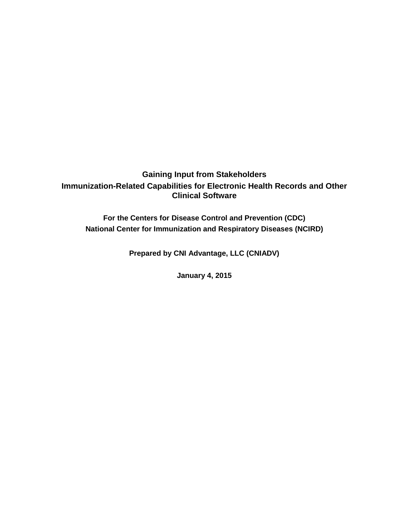## **Gaining Input from Stakeholders Immunization-Related Capabilities for Electronic Health Records and Other Clinical Software**

**For the Centers for Disease Control and Prevention (CDC) National Center for Immunization and Respiratory Diseases (NCIRD)**

**Prepared by CNI Advantage, LLC (CNIADV)**

**January 4, 2015**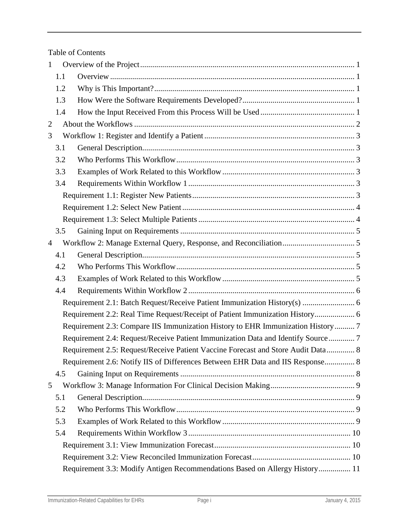Table of Contents

| $\mathbf{1}$   |                                                                             |                                                                                  |  |  |  |  |
|----------------|-----------------------------------------------------------------------------|----------------------------------------------------------------------------------|--|--|--|--|
|                | 1.1                                                                         |                                                                                  |  |  |  |  |
|                | 1.2                                                                         |                                                                                  |  |  |  |  |
|                | 1.3                                                                         |                                                                                  |  |  |  |  |
|                | 1.4                                                                         |                                                                                  |  |  |  |  |
| $\overline{2}$ |                                                                             |                                                                                  |  |  |  |  |
| 3              |                                                                             |                                                                                  |  |  |  |  |
|                | 3.1                                                                         |                                                                                  |  |  |  |  |
|                | 3.2                                                                         |                                                                                  |  |  |  |  |
|                | 3.3                                                                         |                                                                                  |  |  |  |  |
|                | 3.4                                                                         |                                                                                  |  |  |  |  |
|                |                                                                             |                                                                                  |  |  |  |  |
|                |                                                                             |                                                                                  |  |  |  |  |
|                |                                                                             |                                                                                  |  |  |  |  |
|                | 3.5                                                                         |                                                                                  |  |  |  |  |
| $\overline{4}$ |                                                                             |                                                                                  |  |  |  |  |
|                | 4.1                                                                         |                                                                                  |  |  |  |  |
|                | 4.2                                                                         |                                                                                  |  |  |  |  |
|                | 4.3                                                                         |                                                                                  |  |  |  |  |
|                | 4.4                                                                         |                                                                                  |  |  |  |  |
|                |                                                                             |                                                                                  |  |  |  |  |
|                |                                                                             | Requirement 2.2: Real Time Request/Receipt of Patient Immunization History 6     |  |  |  |  |
|                |                                                                             | Requirement 2.3: Compare IIS Immunization History to EHR Immunization History 7  |  |  |  |  |
|                |                                                                             | Requirement 2.4: Request/Receive Patient Immunization Data and Identify Source 7 |  |  |  |  |
|                |                                                                             | Requirement 2.5: Request/Receive Patient Vaccine Forecast and Store Audit Data 8 |  |  |  |  |
|                |                                                                             | Requirement 2.6: Notify IIS of Differences Between EHR Data and IIS Response 8   |  |  |  |  |
|                | 4.5                                                                         |                                                                                  |  |  |  |  |
| 5              |                                                                             |                                                                                  |  |  |  |  |
|                | 5.1                                                                         |                                                                                  |  |  |  |  |
|                | 5.2                                                                         |                                                                                  |  |  |  |  |
|                | 5.3                                                                         |                                                                                  |  |  |  |  |
|                | 5.4                                                                         |                                                                                  |  |  |  |  |
|                |                                                                             |                                                                                  |  |  |  |  |
|                |                                                                             |                                                                                  |  |  |  |  |
|                | Requirement 3.3: Modify Antigen Recommendations Based on Allergy History 11 |                                                                                  |  |  |  |  |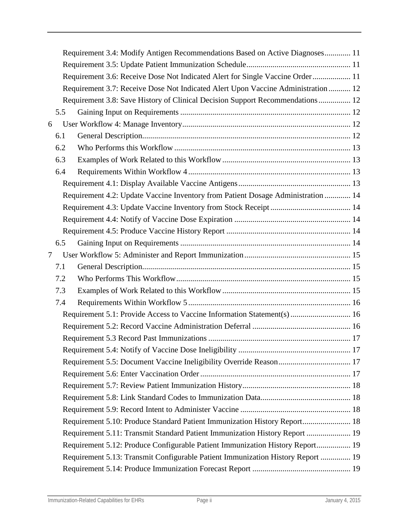|   |     | Requirement 3.4: Modify Antigen Recommendations Based on Active Diagnoses 11      |  |
|---|-----|-----------------------------------------------------------------------------------|--|
|   |     |                                                                                   |  |
|   |     | Requirement 3.6: Receive Dose Not Indicated Alert for Single Vaccine Order 11     |  |
|   |     | Requirement 3.7: Receive Dose Not Indicated Alert Upon Vaccine Administration  12 |  |
|   |     | Requirement 3.8: Save History of Clinical Decision Support Recommendations 12     |  |
|   | 5.5 |                                                                                   |  |
| 6 |     |                                                                                   |  |
|   | 6.1 |                                                                                   |  |
|   | 6.2 |                                                                                   |  |
|   | 6.3 |                                                                                   |  |
|   | 6.4 |                                                                                   |  |
|   |     |                                                                                   |  |
|   |     | Requirement 4.2: Update Vaccine Inventory from Patient Dosage Administration  14  |  |
|   |     |                                                                                   |  |
|   |     |                                                                                   |  |
|   |     |                                                                                   |  |
|   | 6.5 |                                                                                   |  |
| 7 |     |                                                                                   |  |
|   | 7.1 |                                                                                   |  |
|   | 7.2 |                                                                                   |  |
|   | 7.3 |                                                                                   |  |
|   | 7.4 |                                                                                   |  |
|   |     |                                                                                   |  |
|   |     |                                                                                   |  |
|   |     |                                                                                   |  |
|   |     |                                                                                   |  |
|   |     |                                                                                   |  |
|   |     |                                                                                   |  |
|   |     |                                                                                   |  |
|   |     |                                                                                   |  |
|   |     |                                                                                   |  |
|   |     | Requirement 5.10: Produce Standard Patient Immunization History Report 18         |  |
|   |     | Requirement 5.11: Transmit Standard Patient Immunization History Report  19       |  |
|   |     | Requirement 5.12: Produce Configurable Patient Immunization History Report 19     |  |
|   |     | Requirement 5.13: Transmit Configurable Patient Immunization History Report  19   |  |
|   |     |                                                                                   |  |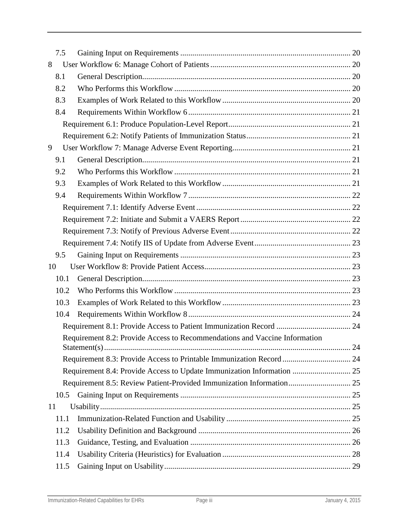|    | 7.5  |                                                                            |  |
|----|------|----------------------------------------------------------------------------|--|
| 8  |      |                                                                            |  |
|    | 8.1  |                                                                            |  |
|    | 8.2  |                                                                            |  |
|    | 8.3  |                                                                            |  |
|    | 8.4  |                                                                            |  |
|    |      |                                                                            |  |
|    |      |                                                                            |  |
| 9  |      |                                                                            |  |
|    | 9.1  |                                                                            |  |
|    | 9.2  |                                                                            |  |
|    | 9.3  |                                                                            |  |
|    | 9.4  |                                                                            |  |
|    |      |                                                                            |  |
|    |      |                                                                            |  |
|    |      |                                                                            |  |
|    |      |                                                                            |  |
|    | 9.5  |                                                                            |  |
| 10 |      |                                                                            |  |
|    | 10.1 |                                                                            |  |
|    | 10.2 |                                                                            |  |
|    | 10.3 |                                                                            |  |
|    | 10.4 |                                                                            |  |
|    |      |                                                                            |  |
|    |      | Requirement 8.2: Provide Access to Recommendations and Vaccine Information |  |
|    |      |                                                                            |  |
|    |      | Requirement 8.3: Provide Access to Printable Immunization Record  24       |  |
|    |      |                                                                            |  |
|    |      | Requirement 8.5: Review Patient-Provided Immunization Information 25       |  |
|    | 10.5 |                                                                            |  |
| 11 |      |                                                                            |  |
|    | 11.1 |                                                                            |  |
|    | 11.2 |                                                                            |  |
|    | 11.3 |                                                                            |  |
|    | 11.4 |                                                                            |  |
|    | 11.5 |                                                                            |  |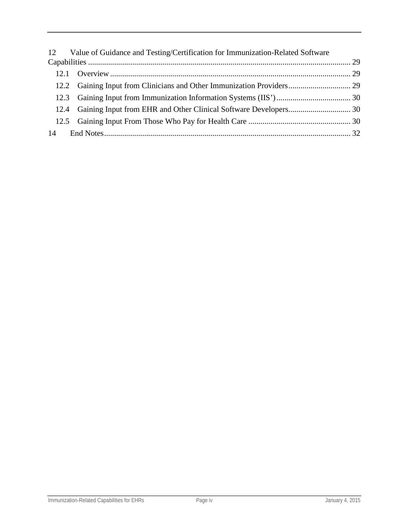| 12 Value of Guidance and Testing/Certification for Immunization-Related Software |  |
|----------------------------------------------------------------------------------|--|
|                                                                                  |  |
|                                                                                  |  |
|                                                                                  |  |
|                                                                                  |  |
|                                                                                  |  |
|                                                                                  |  |
|                                                                                  |  |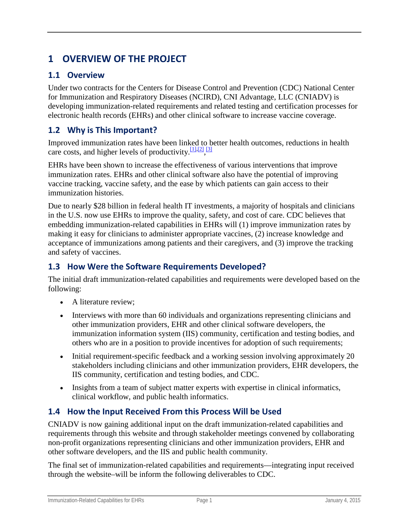# <span id="page-5-0"></span>**1 OVERVIEW OF THE PROJECT**

## <span id="page-5-1"></span>**1.1 Overview**

Under two contracts for the Centers for Disease Control and Prevention (CDC) National Center for Immunization and Respiratory Diseases (NCIRD), CNI Advantage, LLC (CNIADV) is developing immunization-related requirements and related testing and certification processes for electronic health records (EHRs) and other clinical software to increase vaccine coverage.

## <span id="page-5-2"></span>**1.2 Why is This Important?**

Improved immunization rates have been linked to better health outcomes, reductions in health care costs, and higher levels of productivity. [1], [2], [\[3\]](http://www.immunizationsandhealthit.org/about-the-project/#_edn3)

EHRs have been shown to increase the effectiveness of various interventions that improve immunization rates. EHRs and other clinical software also have the potential of improving vaccine tracking, vaccine safety, and the ease by which patients can gain access to their immunization histories.

Due to nearly \$28 billion in federal health IT investments, a majority of hospitals and clinicians in the U.S. now use EHRs to improve the quality, safety, and cost of care. CDC believes that embedding immunization-related capabilities in EHRs will (1) improve immunization rates by making it easy for clinicians to administer appropriate vaccines, (2) increase knowledge and acceptance of immunizations among patients and their caregivers, and (3) improve the tracking and safety of vaccines.

## <span id="page-5-3"></span>**1.3 How Were the Software Requirements Developed?**

The initial draft immunization-related capabilities and requirements were developed based on the following:

- A literature review:
- Interviews with more than 60 individuals and organizations representing clinicians and other immunization providers, EHR and other clinical software developers, the immunization information system (IIS) community, certification and testing bodies, and others who are in a position to provide incentives for adoption of such requirements;
- Initial requirement-specific feedback and a working session involving approximately 20 stakeholders including clinicians and other immunization providers, EHR developers, the IIS community, certification and testing bodies, and CDC.
- Insights from a team of subject matter experts with expertise in clinical informatics, clinical workflow, and public health informatics.

## <span id="page-5-4"></span>**1.4 How the Input Received From this Process Will be Used**

CNIADV is now gaining additional input on the draft immunization-related capabilities and requirements through this website and through stakeholder meetings convened by collaborating non-profit organizations representing clinicians and other immunization providers, EHR and other software developers, and the IIS and public health community.

The final set of immunization-related capabilities and requirements—integrating input received through the website–will be inform the following deliverables to CDC.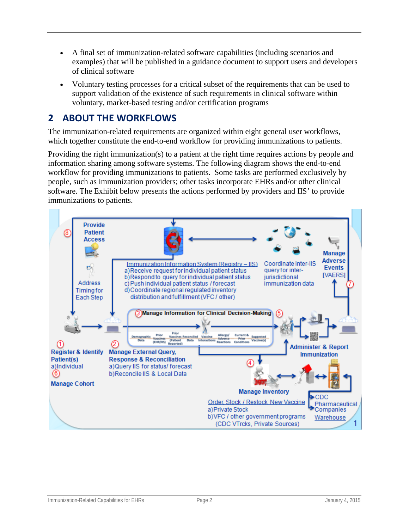- A final set of immunization-related software capabilities (including scenarios and examples) that will be published in a guidance document to support users and developers of clinical software
- Voluntary testing processes for a critical subset of the requirements that can be used to support validation of the existence of such requirements in clinical software within voluntary, market-based testing and/or certification programs

## <span id="page-6-0"></span>**2 ABOUT THE WORKFLOWS**

The immunization-related requirements are organized within eight general user workflows, which together constitute the end-to-end workflow for providing immunizations to patients.

Providing the right immunization(s) to a patient at the right time requires actions by people and information sharing among software systems. The following diagram shows the end-to-end workflow for providing immunizations to patients. Some tasks are performed exclusively by people, such as immunization providers; other tasks incorporate EHRs and/or other clinical software. The Exhibit below presents the actions performed by providers and IIS' to provide immunizations to patients.

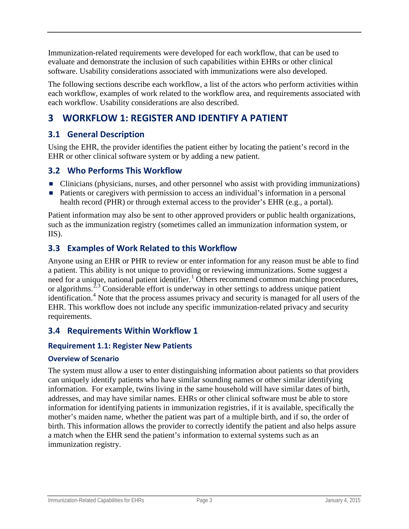Immunization-related requirements were developed for each workflow, that can be used to evaluate and demonstrate the inclusion of such capabilities within EHRs or other clinical software. Usability considerations associated with immunizations were also developed.

The following sections describe each workflow, a list of the actors who perform activities within each workflow, examples of work related to the workflow area, and requirements associated with each workflow. Usability considerations are also described.

# <span id="page-7-0"></span>**3 WORKFLOW 1: REGISTER AND IDENTIFY A PATIENT**

## <span id="page-7-1"></span>**3.1 General Description**

Using the EHR, the provider identifies the patient either by locating the patient's record in the EHR or other clinical software system or by adding a new patient.

## <span id="page-7-2"></span>**3.2 Who Performs This Workflow**

- Clinicians (physicians, nurses, and other personnel who assist with providing immunizations)
- Patients or caregivers with permission to access an individual's information in a personal health record (PHR) or through external access to the provider's EHR (e.g., a portal).

Patient information may also be sent to other approved providers or public health organizations, such as the immunization registry (sometimes called an immunization information system, or IIS).

## <span id="page-7-3"></span>**3.3 Examples of Work Related to this Workflow**

Anyone using an EHR or PHR to review or enter information for any reason must be able to find a patient. This ability is not unique to providing or reviewing immunizations. Some suggest a need for a unique, national patient identifier.<sup>[1](#page-37-0)</sup> Others recommend common matching procedures, or algorithms.<sup>[2,](#page-37-1)[3](#page-37-2)</sup> Considerable effort is underway in other settings to address unique patient identification.<sup>[4](#page-37-3)</sup> Note that the process assumes privacy and security is managed for all users of the EHR. This workflow does not include any specific immunization-related privacy and security requirements.

## <span id="page-7-4"></span>**3.4 Requirements Within Workflow 1**

### <span id="page-7-5"></span>**Requirement 1.1: Register New Patients**

#### **Overview of Scenario**

The system must allow a user to enter distinguishing information about patients so that providers can uniquely identify patients who have similar sounding names or other similar identifying information. For example, twins living in the same household will have similar dates of birth, addresses, and may have similar names. EHRs or other clinical software must be able to store information for identifying patients in immunization registries, if it is available, specifically the mother's maiden name, whether the patient was part of a multiple birth, and if so, the order of birth. This information allows the provider to correctly identify the patient and also helps assure a match when the EHR send the patient's information to external systems such as an immunization registry.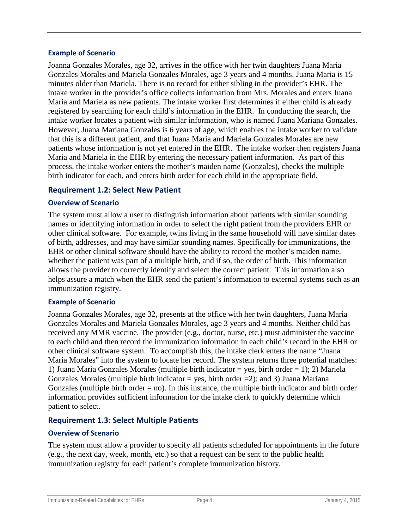#### **Example of Scenario**

Joanna Gonzales Morales, age 32, arrives in the office with her twin daughters Juana Maria Gonzales Morales and Mariela Gonzales Morales, age 3 years and 4 months. Juana Maria is 15 minutes older than Mariela. There is no record for either sibling in the provider's EHR. The intake worker in the provider's office collects information from Mrs. Morales and enters Juana Maria and Mariela as new patients. The intake worker first determines if either child is already registered by searching for each child's information in the EHR. In conducting the search, the intake worker locates a patient with similar information, who is named Juana Mariana Gonzales. However, Juana Mariana Gonzales is 6 years of age, which enables the intake worker to validate that this is a different patient, and that Juana Maria and Mariela Gonzales Morales are new patients whose information is not yet entered in the EHR. The intake worker then registers Juana Maria and Mariela in the EHR by entering the necessary patient information. As part of this process, the intake worker enters the mother's maiden name (Gonzales), checks the multiple birth indicator for each, and enters birth order for each child in the appropriate field.

#### <span id="page-8-0"></span>**Requirement 1.2: Select New Patient**

#### **Overview of Scenario**

The system must allow a user to distinguish information about patients with similar sounding names or identifying information in order to select the right patient from the providers EHR or other clinical software. For example, twins living in the same household will have similar dates of birth, addresses, and may have similar sounding names. Specifically for immunizations, the EHR or other clinical software should have the ability to record the mother's maiden name, whether the patient was part of a multiple birth, and if so, the order of birth. This information allows the provider to correctly identify and select the correct patient. This information also helps assure a match when the EHR send the patient's information to external systems such as an immunization registry.

#### **Example of Scenario**

Joanna Gonzales Morales, age 32, presents at the office with her twin daughters, Juana Maria Gonzales Morales and Mariela Gonzales Morales, age 3 years and 4 months. Neither child has received any MMR vaccine. The provider (e.g., doctor, nurse, etc.) must administer the vaccine to each child and then record the immunization information in each child's record in the EHR or other clinical software system. To accomplish this, the intake clerk enters the name "Juana Maria Morales" into the system to locate her record. The system returns three potential matches: 1) Juana Maria Gonzales Morales (multiple birth indicator = yes, birth order = 1); 2) Mariela Gonzales Morales (multiple birth indicator = yes, birth order = 2); and 3) Juana Mariana Gonzales (multiple birth order  $=$  no). In this instance, the multiple birth indicator and birth order information provides sufficient information for the intake clerk to quickly determine which patient to select.

#### <span id="page-8-1"></span>**Requirement 1.3: Select Multiple Patients**

#### **Overview of Scenario**

The system must allow a provider to specify all patients scheduled for appointments in the future (e.g., the next day, week, month, etc.) so that a request can be sent to the public health immunization registry for each patient's complete immunization history.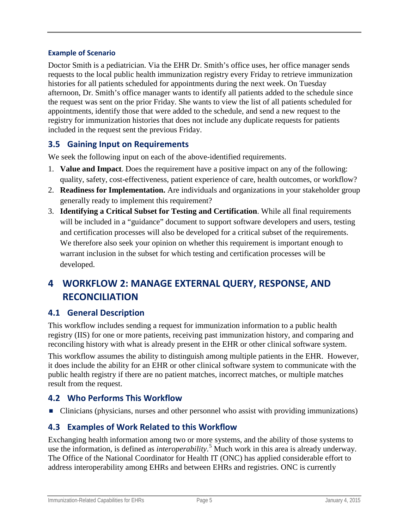#### **Example of Scenario**

Doctor Smith is a pediatrician. Via the EHR Dr. Smith's office uses, her office manager sends requests to the local public health immunization registry every Friday to retrieve immunization histories for all patients scheduled for appointments during the next week. On Tuesday afternoon, Dr. Smith's office manager wants to identify all patients added to the schedule since the request was sent on the prior Friday. She wants to view the list of all patients scheduled for appointments, identify those that were added to the schedule, and send a new request to the registry for immunization histories that does not include any duplicate requests for patients included in the request sent the previous Friday.

## <span id="page-9-0"></span>**3.5 Gaining Input on Requirements**

We seek the following input on each of the above-identified requirements.

- 1. **Value and Impact**. Does the requirement have a positive impact on any of the following: quality, safety, cost-effectiveness, patient experience of care, health outcomes, or workflow?
- 2. **Readiness for Implementation.** Are individuals and organizations in your stakeholder group generally ready to implement this requirement?
- 3. **Identifying a Critical Subset for Testing and Certification**. While all final requirements will be included in a "guidance" document to support software developers and users, testing and certification processes will also be developed for a critical subset of the requirements. We therefore also seek your opinion on whether this requirement is important enough to warrant inclusion in the subset for which testing and certification processes will be developed.

# <span id="page-9-1"></span>**4 WORKFLOW 2: MANAGE EXTERNAL QUERY, RESPONSE, AND RECONCILIATION**

## <span id="page-9-2"></span>**4.1 General Description**

This workflow includes sending a request for immunization information to a public health registry (IIS) for one or more patients, receiving past immunization history, and comparing and reconciling history with what is already present in the EHR or other clinical software system.

This workflow assumes the ability to distinguish among multiple patients in the EHR. However, it does include the ability for an EHR or other clinical software system to communicate with the public health registry if there are no patient matches, incorrect matches, or multiple matches result from the request.

## <span id="page-9-3"></span>**4.2 Who Performs This Workflow**

■ Clinicians (physicians, nurses and other personnel who assist with providing immunizations)

## <span id="page-9-4"></span>**4.3 Examples of Work Related to this Workflow**

Exchanging health information among two or more systems, and the ability of those systems to use the information, is defined as *interoperability*. [5](#page-37-4) Much work in this area is already underway. The Office of the National Coordinator for Health IT (ONC) has applied considerable effort to address interoperability among EHRs and between EHRs and registries. ONC is currently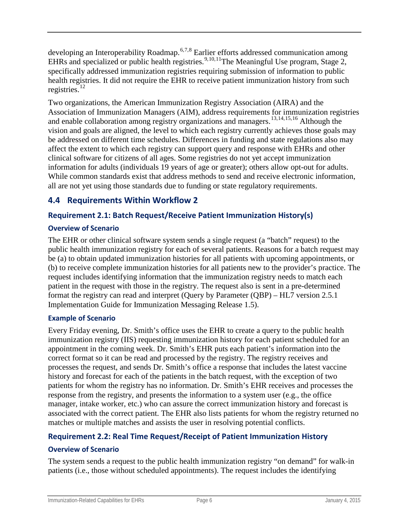developing an Interoperability Roadmap.<sup>[6,](#page-38-0)[7](#page-38-1),[8](#page-38-2)</sup> Earlier efforts addressed communication among EHRs and specialized or public health registries.<sup>[9](#page-38-3),[10,](#page-38-4)11</sup>The Meaningful Use program, Stage 2, specifically addressed immunization registries requiring submission of information to public health registries. It did not require the EHR to receive patient immunization history from such registries. $^{12}$  $^{12}$  $^{12}$ 

Two organizations, the American Immunization Registry Association (AIRA) and the Association of Immunization Managers (AIM), address requirements for immunization registries and enable collaboration among registry organizations and managers.<sup>[13](#page-38-7)[,14,](#page-38-8)[15](#page-38-9),[16](#page-38-10)</sup> Although the vision and goals are aligned, the level to which each registry currently achieves those goals may be addressed on different time schedules. Differences in funding and state regulations also may affect the extent to which each registry can support query and response with EHRs and other clinical software for citizens of all ages. Some registries do not yet accept immunization information for adults (individuals 19 years of age or greater); others allow opt-out for adults. While common standards exist that address methods to send and receive electronic information, all are not yet using those standards due to funding or state regulatory requirements.

## <span id="page-10-0"></span>**4.4 Requirements Within Workflow 2**

### <span id="page-10-1"></span>**Requirement 2.1: Batch Request/Receive Patient Immunization History(s)**

### **Overview of Scenario**

The EHR or other clinical software system sends a single request (a "batch" request) to the public health immunization registry for each of several patients. Reasons for a batch request may be (a) to obtain updated immunization histories for all patients with upcoming appointments, or (b) to receive complete immunization histories for all patients new to the provider's practice. The request includes identifying information that the immunization registry needs to match each patient in the request with those in the registry. The request also is sent in a pre-determined format the registry can read and interpret (Query by Parameter (QBP) – HL7 version 2.5.1 Implementation Guide for Immunization Messaging Release 1.5).

#### **Example of Scenario**

Every Friday evening, Dr. Smith's office uses the EHR to create a query to the public health immunization registry (IIS) requesting immunization history for each patient scheduled for an appointment in the coming week. Dr. Smith's EHR puts each patient's information into the correct format so it can be read and processed by the registry. The registry receives and processes the request, and sends Dr. Smith's office a response that includes the latest vaccine history and forecast for each of the patients in the batch request, with the exception of two patients for whom the registry has no information. Dr. Smith's EHR receives and processes the response from the registry, and presents the information to a system user (e.g., the office manager, intake worker, etc.) who can assure the correct immunization history and forecast is associated with the correct patient. The EHR also lists patients for whom the registry returned no matches or multiple matches and assists the user in resolving potential conflicts.

## <span id="page-10-2"></span>**Requirement 2.2: Real Time Request/Receipt of Patient Immunization History**

### **Overview of Scenario**

The system sends a request to the public health immunization registry "on demand" for walk-in patients (i.e., those without scheduled appointments). The request includes the identifying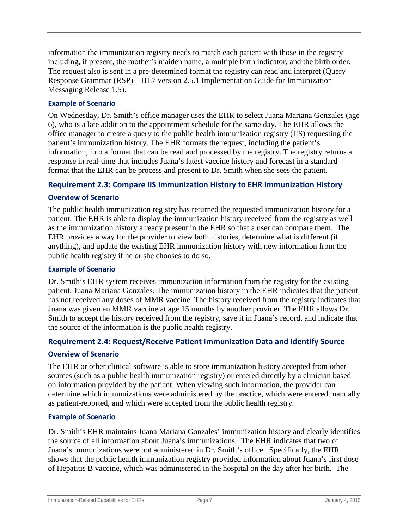information the immunization registry needs to match each patient with those in the registry including, if present, the mother's maiden name, a multiple birth indicator, and the birth order. The request also is sent in a pre-determined format the registry can read and interpret (Query Response Grammar (RSP) – HL7 version 2.5.1 Implementation Guide for Immunization Messaging Release 1.5).

### **Example of Scenario**

On Wednesday, Dr. Smith's office manager uses the EHR to select Juana Mariana Gonzales (age 6), who is a late addition to the appointment schedule for the same day. The EHR allows the office manager to create a query to the public health immunization registry (IIS) requesting the patient's immunization history. The EHR formats the request, including the patient's information, into a format that can be read and processed by the registry. The registry returns a response in real-time that includes Juana's latest vaccine history and forecast in a standard format that the EHR can be process and present to Dr. Smith when she sees the patient.

### <span id="page-11-0"></span>**Requirement 2.3: Compare IIS Immunization History to EHR Immunization History**

### **Overview of Scenario**

The public health immunization registry has returned the requested immunization history for a patient. The EHR is able to display the immunization history received from the registry as well as the immunization history already present in the EHR so that a user can compare them. The EHR provides a way for the provider to view both histories, determine what is different (if anything), and update the existing EHR immunization history with new information from the public health registry if he or she chooses to do so.

#### **Example of Scenario**

Dr. Smith's EHR system receives immunization information from the registry for the existing patient, Juana Mariana Gonzales. The immunization history in the EHR indicates that the patient has not received any doses of MMR vaccine. The history received from the registry indicates that Juana was given an MMR vaccine at age 15 months by another provider. The EHR allows Dr. Smith to accept the history received from the registry, save it in Juana's record, and indicate that the source of the information is the public health registry.

### <span id="page-11-1"></span>**Requirement 2.4: Request/Receive Patient Immunization Data and Identify Source**

#### **Overview of Scenario**

The EHR or other clinical software is able to store immunization history accepted from other sources (such as a public health immunization registry) or entered directly by a clinician based on information provided by the patient. When viewing such information, the provider can determine which immunizations were administered by the practice, which were entered manually as patient-reported, and which were accepted from the public health registry.

#### **Example of Scenario**

Dr. Smith's EHR maintains Juana Mariana Gonzales' immunization history and clearly identifies the source of all information about Juana's immunizations. The EHR indicates that two of Juana's immunizations were not administered in Dr. Smith's office. Specifically, the EHR shows that the public health immunization registry provided information about Juana's first dose of Hepatitis B vaccine, which was administered in the hospital on the day after her birth. The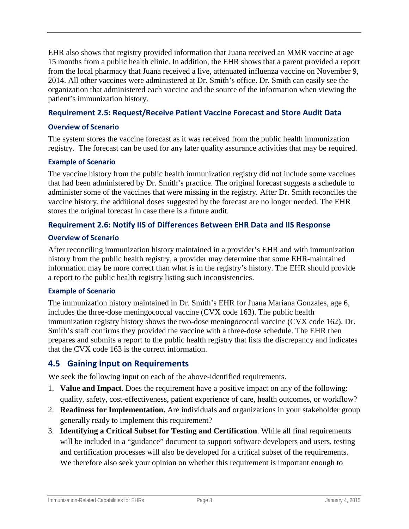EHR also shows that registry provided information that Juana received an MMR vaccine at age 15 months from a public health clinic. In addition, the EHR shows that a parent provided a report from the local pharmacy that Juana received a live, attenuated influenza vaccine on November 9, 2014. All other vaccines were administered at Dr. Smith's office. Dr. Smith can easily see the organization that administered each vaccine and the source of the information when viewing the patient's immunization history.

### <span id="page-12-0"></span>**Requirement 2.5: Request/Receive Patient Vaccine Forecast and Store Audit Data**

#### **Overview of Scenario**

The system stores the vaccine forecast as it was received from the public health immunization registry. The forecast can be used for any later quality assurance activities that may be required.

#### **Example of Scenario**

The vaccine history from the public health immunization registry did not include some vaccines that had been administered by Dr. Smith's practice. The original forecast suggests a schedule to administer some of the vaccines that were missing in the registry. After Dr. Smith reconciles the vaccine history, the additional doses suggested by the forecast are no longer needed. The EHR stores the original forecast in case there is a future audit.

### <span id="page-12-1"></span>**Requirement 2.6: Notify IIS of Differences Between EHR Data and IIS Response**

#### **Overview of Scenario**

After reconciling immunization history maintained in a provider's EHR and with immunization history from the public health registry, a provider may determine that some EHR-maintained information may be more correct than what is in the registry's history. The EHR should provide a report to the public health registry listing such inconsistencies.

#### **Example of Scenario**

The immunization history maintained in Dr. Smith's EHR for Juana Mariana Gonzales, age 6, includes the three-dose meningococcal vaccine (CVX code 163). The public health immunization registry history shows the two-dose meningococcal vaccine (CVX code 162). Dr. Smith's staff confirms they provided the vaccine with a three-dose schedule. The EHR then prepares and submits a report to the public health registry that lists the discrepancy and indicates that the CVX code 163 is the correct information.

### <span id="page-12-2"></span>**4.5 Gaining Input on Requirements**

We seek the following input on each of the above-identified requirements.

- 1. **Value and Impact**. Does the requirement have a positive impact on any of the following: quality, safety, cost-effectiveness, patient experience of care, health outcomes, or workflow?
- 2. **Readiness for Implementation.** Are individuals and organizations in your stakeholder group generally ready to implement this requirement?
- 3. **Identifying a Critical Subset for Testing and Certification**. While all final requirements will be included in a "guidance" document to support software developers and users, testing and certification processes will also be developed for a critical subset of the requirements. We therefore also seek your opinion on whether this requirement is important enough to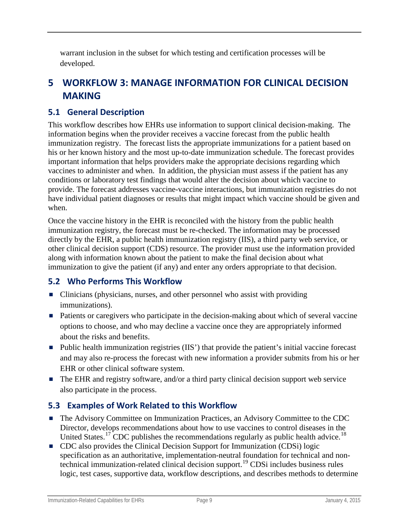warrant inclusion in the subset for which testing and certification processes will be developed.

# <span id="page-13-0"></span>**5 WORKFLOW 3: MANAGE INFORMATION FOR CLINICAL DECISION MAKING**

## <span id="page-13-1"></span>**5.1 General Description**

This workflow describes how EHRs use information to support clinical decision-making. The information begins when the provider receives a vaccine forecast from the public health immunization registry. The forecast lists the appropriate immunizations for a patient based on his or her known history and the most up-to-date immunization schedule. The forecast provides important information that helps providers make the appropriate decisions regarding which vaccines to administer and when. In addition, the physician must assess if the patient has any conditions or laboratory test findings that would alter the decision about which vaccine to provide. The forecast addresses vaccine-vaccine interactions, but immunization registries do not have individual patient diagnoses or results that might impact which vaccine should be given and when.

Once the vaccine history in the EHR is reconciled with the history from the public health immunization registry, the forecast must be re-checked. The information may be processed directly by the EHR, a public health immunization registry (IIS), a third party web service, or other clinical decision support (CDS) resource. The provider must use the information provided along with information known about the patient to make the final decision about what immunization to give the patient (if any) and enter any orders appropriate to that decision.

## <span id="page-13-2"></span>**5.2 Who Performs This Workflow**

- Clinicians (physicians, nurses, and other personnel who assist with providing immunizations).
- Patients or caregivers who participate in the decision-making about which of several vaccine options to choose, and who may decline a vaccine once they are appropriately informed about the risks and benefits.
- Public health immunization registries (IIS') that provide the patient's initial vaccine forecast and may also re-process the forecast with new information a provider submits from his or her EHR or other clinical software system.
- The EHR and registry software, and/or a third party clinical decision support web service also participate in the process.

## <span id="page-13-3"></span>**5.3 Examples of Work Related to this Workflow**

- The Advisory Committee on Immunization Practices, an Advisory Committee to the CDC Director, develops recommendations about how to use vaccines to control diseases in the United States.<sup>[17](#page-38-11)</sup> CDC publishes the recommendations regularly as public health advice.<sup>[18](#page-38-12)</sup>
- CDC also provides the Clinical Decision Support for Immunization (CDSi) logic specification as an authoritative, implementation-neutral foundation for technical and nontechnical immunization-related clinical decision support.[19](#page-38-13) CDSi includes business rules logic, test cases, supportive data, workflow descriptions, and describes methods to determine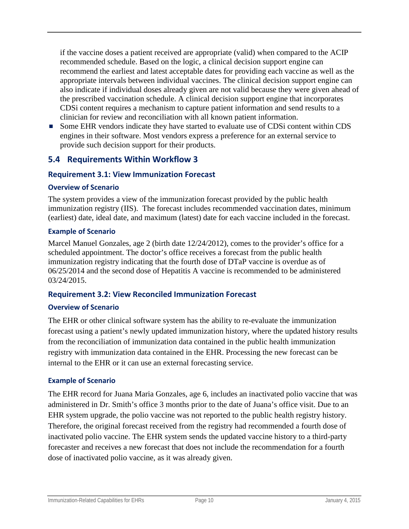if the vaccine doses a patient received are appropriate (valid) when compared to the ACIP recommended schedule. Based on the logic, a clinical decision support engine can recommend the earliest and latest acceptable dates for providing each vaccine as well as the appropriate intervals between individual vaccines. The clinical decision support engine can also indicate if individual doses already given are not valid because they were given ahead of the prescribed vaccination schedule. A clinical decision support engine that incorporates CDSi content requires a mechanism to capture patient information and send results to a clinician for review and reconciliation with all known patient information.

Some EHR vendors indicate they have started to evaluate use of CDSi content within CDS engines in their software. Most vendors express a preference for an external service to provide such decision support for their products.

## <span id="page-14-0"></span>**5.4 Requirements Within Workflow 3**

#### <span id="page-14-1"></span>**Requirement 3.1: View Immunization Forecast**

#### **Overview of Scenario**

The system provides a view of the immunization forecast provided by the public health immunization registry (IIS). The forecast includes recommended vaccination dates, minimum (earliest) date, ideal date, and maximum (latest) date for each vaccine included in the forecast.

#### **Example of Scenario**

Marcel Manuel Gonzales, age 2 (birth date 12/24/2012), comes to the provider's office for a scheduled appointment. The doctor's office receives a forecast from the public health immunization registry indicating that the fourth dose of DTaP vaccine is overdue as of 06/25/2014 and the second dose of Hepatitis A vaccine is recommended to be administered 03/24/2015.

#### <span id="page-14-2"></span>**Requirement 3.2: View Reconciled Immunization Forecast**

#### **Overview of Scenario**

The EHR or other clinical software system has the ability to re-evaluate the immunization forecast using a patient's newly updated immunization history, where the updated history results from the reconciliation of immunization data contained in the public health immunization registry with immunization data contained in the EHR. Processing the new forecast can be internal to the EHR or it can use an external forecasting service.

#### **Example of Scenario**

The EHR record for Juana Maria Gonzales, age 6, includes an inactivated polio vaccine that was administered in Dr. Smith's office 3 months prior to the date of Juana's office visit. Due to an EHR system upgrade, the polio vaccine was not reported to the public health registry history. Therefore, the original forecast received from the registry had recommended a fourth dose of inactivated polio vaccine. The EHR system sends the updated vaccine history to a third-party forecaster and receives a new forecast that does not include the recommendation for a fourth dose of inactivated polio vaccine, as it was already given.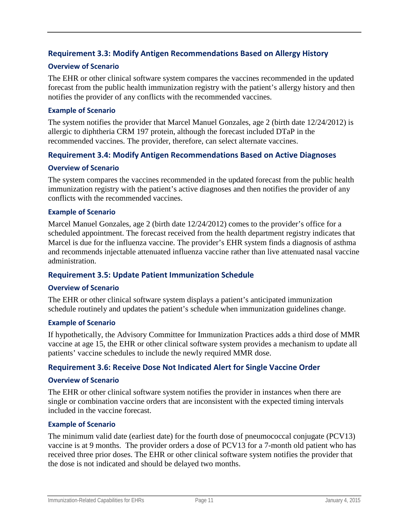### <span id="page-15-0"></span>**Requirement 3.3: Modify Antigen Recommendations Based on Allergy History**

#### **Overview of Scenario**

The EHR or other clinical software system compares the vaccines recommended in the updated forecast from the public health immunization registry with the patient's allergy history and then notifies the provider of any conflicts with the recommended vaccines.

#### **Example of Scenario**

The system notifies the provider that Marcel Manuel Gonzales, age 2 (birth date 12/24/2012) is allergic to diphtheria CRM 197 protein, although the forecast included DTaP in the recommended vaccines. The provider, therefore, can select alternate vaccines.

#### <span id="page-15-1"></span>**Requirement 3.4: Modify Antigen Recommendations Based on Active Diagnoses**

#### **Overview of Scenario**

The system compares the vaccines recommended in the updated forecast from the public health immunization registry with the patient's active diagnoses and then notifies the provider of any conflicts with the recommended vaccines.

#### **Example of Scenario**

Marcel Manuel Gonzales, age 2 (birth date 12/24/2012) comes to the provider's office for a scheduled appointment. The forecast received from the health department registry indicates that Marcel is due for the influenza vaccine. The provider's EHR system finds a diagnosis of asthma and recommends injectable attenuated influenza vaccine rather than live attenuated nasal vaccine administration.

#### <span id="page-15-2"></span>**Requirement 3.5: Update Patient Immunization Schedule**

#### **Overview of Scenario**

The EHR or other clinical software system displays a patient's anticipated immunization schedule routinely and updates the patient's schedule when immunization guidelines change.

#### **Example of Scenario**

If hypothetically, the Advisory Committee for Immunization Practices adds a third dose of MMR vaccine at age 15, the EHR or other clinical software system provides a mechanism to update all patients' vaccine schedules to include the newly required MMR dose.

#### <span id="page-15-3"></span>**Requirement 3.6: Receive Dose Not Indicated Alert for Single Vaccine Order**

#### **Overview of Scenario**

The EHR or other clinical software system notifies the provider in instances when there are single or combination vaccine orders that are inconsistent with the expected timing intervals included in the vaccine forecast.

#### **Example of Scenario**

The minimum valid date (earliest date) for the fourth dose of pneumococcal conjugate (PCV13) vaccine is at 9 months. The provider orders a dose of PCV13 for a 7-month old patient who has received three prior doses. The EHR or other clinical software system notifies the provider that the dose is not indicated and should be delayed two months.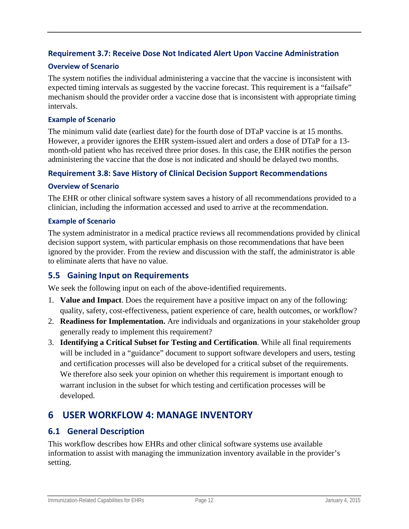### <span id="page-16-0"></span>**Requirement 3.7: Receive Dose Not Indicated Alert Upon Vaccine Administration**

#### **Overview of Scenario**

The system notifies the individual administering a vaccine that the vaccine is inconsistent with expected timing intervals as suggested by the vaccine forecast. This requirement is a "failsafe" mechanism should the provider order a vaccine dose that is inconsistent with appropriate timing intervals.

#### **Example of Scenario**

The minimum valid date (earliest date) for the fourth dose of DTaP vaccine is at 15 months. However, a provider ignores the EHR system-issued alert and orders a dose of DTaP for a 13 month-old patient who has received three prior doses. In this case, the EHR notifies the person administering the vaccine that the dose is not indicated and should be delayed two months.

#### <span id="page-16-1"></span>**Requirement 3.8: Save History of Clinical Decision Support Recommendations**

#### **Overview of Scenario**

The EHR or other clinical software system saves a history of all recommendations provided to a clinician, including the information accessed and used to arrive at the recommendation.

#### **Example of Scenario**

The system administrator in a medical practice reviews all recommendations provided by clinical decision support system, with particular emphasis on those recommendations that have been ignored by the provider. From the review and discussion with the staff, the administrator is able to eliminate alerts that have no value.

### <span id="page-16-2"></span>**5.5 Gaining Input on Requirements**

We seek the following input on each of the above-identified requirements.

- 1. **Value and Impact**. Does the requirement have a positive impact on any of the following: quality, safety, cost-effectiveness, patient experience of care, health outcomes, or workflow?
- 2. **Readiness for Implementation.** Are individuals and organizations in your stakeholder group generally ready to implement this requirement?
- 3. **Identifying a Critical Subset for Testing and Certification**. While all final requirements will be included in a "guidance" document to support software developers and users, testing and certification processes will also be developed for a critical subset of the requirements. We therefore also seek your opinion on whether this requirement is important enough to warrant inclusion in the subset for which testing and certification processes will be developed.

## <span id="page-16-3"></span>**6 USER WORKFLOW 4: MANAGE INVENTORY**

### <span id="page-16-4"></span>**6.1 General Description**

This workflow describes how EHRs and other clinical software systems use available information to assist with managing the immunization inventory available in the provider's setting.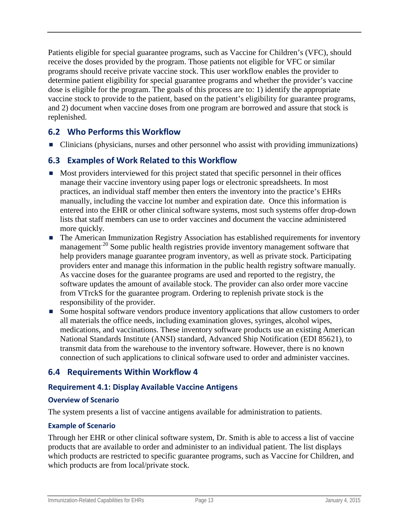Patients eligible for special guarantee programs, such as Vaccine for Children's (VFC), should receive the doses provided by the program. Those patients not eligible for VFC or similar programs should receive private vaccine stock. This user workflow enables the provider to determine patient eligibility for special guarantee programs and whether the provider's vaccine dose is eligible for the program. The goals of this process are to: 1) identify the appropriate vaccine stock to provide to the patient, based on the patient's eligibility for guarantee programs, and 2) document when vaccine doses from one program are borrowed and assure that stock is replenished.

## <span id="page-17-0"></span>**6.2 Who Performs this Workflow**

■ Clinicians (physicians, nurses and other personnel who assist with providing immunizations)

## <span id="page-17-1"></span>**6.3 Examples of Work Related to this Workflow**

- Most providers interviewed for this project stated that specific personnel in their offices manage their vaccine inventory using paper logs or electronic spreadsheets. In most practices, an individual staff member then enters the inventory into the practice's EHRs manually, including the vaccine lot number and expiration date. Once this information is entered into the EHR or other clinical software systems, most such systems offer drop-down lists that staff members can use to order vaccines and document the vaccine administered more quickly.
- The American Immunization Registry Association has established requirements for inventory management<sup>[20](#page-38-14)</sup> Some public health registries provide inventory management software that help providers manage guarantee program inventory, as well as private stock. Participating providers enter and manage this information in the public health registry software manually. As vaccine doses for the guarantee programs are used and reported to the registry, the software updates the amount of available stock. The provider can also order more vaccine from VTrckS for the guarantee program. Ordering to replenish private stock is the responsibility of the provider.
- Some hospital software vendors produce inventory applications that allow customers to order all materials the office needs, including examination gloves, syringes, alcohol wipes, medications, and vaccinations. These inventory software products use an existing American National Standards Institute (ANSI) standard, Advanced Ship Notification (EDI 856[21\)](#page-38-15), to transmit data from the warehouse to the inventory software. However, there is no known connection of such applications to clinical software used to order and administer vaccines.

## <span id="page-17-2"></span>**6.4 Requirements Within Workflow 4**

### <span id="page-17-3"></span>**Requirement 4.1: Display Available Vaccine Antigens**

#### **Overview of Scenario**

The system presents a list of vaccine antigens available for administration to patients.

#### **Example of Scenario**

Through her EHR or other clinical software system, Dr. Smith is able to access a list of vaccine products that are available to order and administer to an individual patient. The list displays which products are restricted to specific guarantee programs, such as Vaccine for Children, and which products are from local/private stock.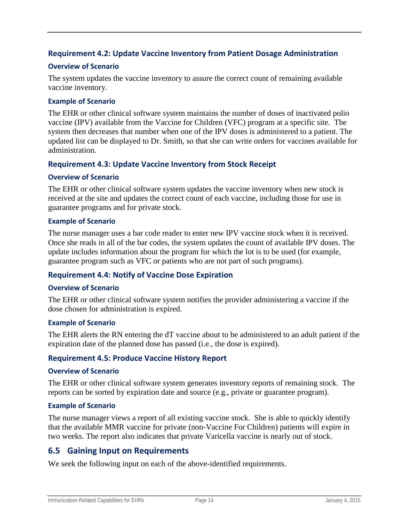### <span id="page-18-0"></span>**Requirement 4.2: Update Vaccine Inventory from Patient Dosage Administration**

#### **Overview of Scenario**

The system updates the vaccine inventory to assure the correct count of remaining available vaccine inventory.

#### **Example of Scenario**

The EHR or other clinical software system maintains the number of doses of inactivated polio vaccine (IPV) available from the Vaccine for Children (VFC) program at a specific site. The system then decreases that number when one of the IPV doses is administered to a patient. The updated list can be displayed to Dr. Smith, so that she can write orders for vaccines available for administration.

#### <span id="page-18-1"></span>**Requirement 4.3: Update Vaccine Inventory from Stock Receipt**

#### **Overview of Scenario**

The EHR or other clinical software system updates the vaccine inventory when new stock is received at the site and updates the correct count of each vaccine, including those for use in guarantee programs and for private stock.

#### **Example of Scenario**

The nurse manager uses a bar code reader to enter new IPV vaccine stock when it is received. Once she reads in all of the bar codes, the system updates the count of available IPV doses. The update includes information about the program for which the lot is to be used (for example, guarantee program such as VFC or patients who are not part of such programs).

#### <span id="page-18-2"></span>**Requirement 4.4: Notify of Vaccine Dose Expiration**

#### **Overview of Scenario**

The EHR or other clinical software system notifies the provider administering a vaccine if the dose chosen for administration is expired.

#### **Example of Scenario**

The EHR alerts the RN entering the dT vaccine about to be administered to an adult patient if the expiration date of the planned dose has passed (i.e., the dose is expired).

#### <span id="page-18-3"></span>**Requirement 4.5: Produce Vaccine History Report**

#### **Overview of Scenario**

The EHR or other clinical software system generates inventory reports of remaining stock. The reports can be sorted by expiration date and source (e.g., private or guarantee program).

#### **Example of Scenario**

The nurse manager views a report of all existing vaccine stock. She is able to quickly identify that the available MMR vaccine for private (non-Vaccine For Children) patients will expire in two weeks. The report also indicates that private Varicella vaccine is nearly out of stock.

### <span id="page-18-4"></span>**6.5 Gaining Input on Requirements**

We seek the following input on each of the above-identified requirements.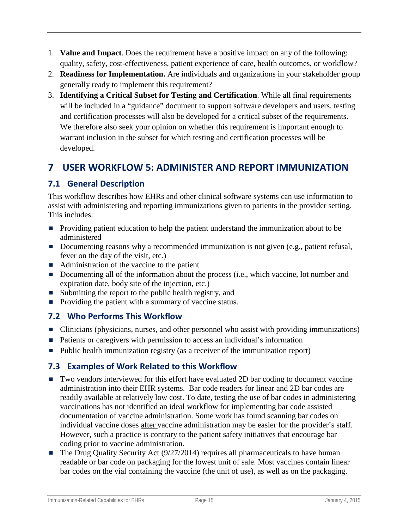- 1. **Value and Impact**. Does the requirement have a positive impact on any of the following: quality, safety, cost-effectiveness, patient experience of care, health outcomes, or workflow?
- 2. **Readiness for Implementation.** Are individuals and organizations in your stakeholder group generally ready to implement this requirement?
- 3. **Identifying a Critical Subset for Testing and Certification**. While all final requirements will be included in a "guidance" document to support software developers and users, testing and certification processes will also be developed for a critical subset of the requirements. We therefore also seek your opinion on whether this requirement is important enough to warrant inclusion in the subset for which testing and certification processes will be developed.

# <span id="page-19-0"></span>**7 USER WORKFLOW 5: ADMINISTER AND REPORT IMMUNIZATION**

## <span id="page-19-1"></span>**7.1 General Description**

This workflow describes how EHRs and other clinical software systems can use information to assist with administering and reporting immunizations given to patients in the provider setting. This includes:

- **Providing patient education to help the patient understand the immunization about to be** administered
- Documenting reasons why a recommended immunization is not given (e.g., patient refusal, fever on the day of the visit, etc.)
- Administration of the vaccine to the patient
- Documenting all of the information about the process (i.e., which vaccine, lot number and expiration date, body site of the injection, etc.)
- Submitting the report to the public health registry, and
- $\blacksquare$  Providing the patient with a summary of vaccine status.

## <span id="page-19-2"></span>**7.2 Who Performs This Workflow**

- Clinicians (physicians, nurses, and other personnel who assist with providing immunizations)
- Patients or caregivers with permission to access an individual's information
- Public health immunization registry (as a receiver of the immunization report)

## <span id="page-19-3"></span>**7.3 Examples of Work Related to this Workflow**

- Two vendors interviewed for this effort have evaluated 2D bar coding to document vaccine administration into their EHR systems. Bar code readers for linear and 2D bar codes are readily available at relatively low cost. To date, testing the use of bar codes in administering vaccinations has not identified an ideal workflow for implementing bar code assisted documentation of vaccine administration. Some work has found scanning bar codes on individual vaccine doses after vaccine administration may be easier for the provider's staff. However, such a practice is contrary to the patient safety initiatives that encourage bar coding prior to vaccine administration.
- $\blacksquare$  The Drug Quality Security Act (9/27/2014) requires all pharmaceuticals to have human readable or bar code on packaging for the lowest unit of sale. Most vaccines contain linear bar codes on the vial containing the vaccine (the unit of use), as well as on the packaging.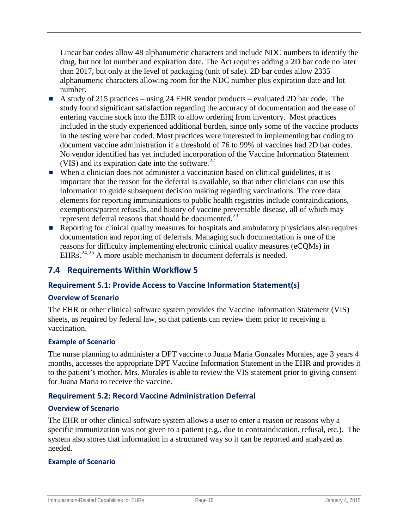Linear bar codes allow 48 alphanumeric characters and include NDC numbers to identify the drug, but not lot number and expiration date. The Act requires adding a 2D bar code no later than 2017, but only at the level of packaging (unit of sale). 2D bar codes allow 2335 alphanumeric characters allowing room for the NDC number plus expiration date and lot number.

- A study of 215 practices using 24 EHR vendor products evaluated 2D bar code. The study found significant satisfaction regarding the accuracy of documentation and the ease of entering vaccine stock into the EHR to allow ordering from inventory. Most practices included in the study experienced additional burden, since only some of the vaccine products in the testing were bar coded. Most practices were interested in implementing bar coding to document vaccine administration if a threshold of 76 to 99% of vaccines had 2D bar codes. No vendor identified has yet included incorporation of the Vaccine Information Statement (VIS) and its expiration date into the software. $^{22}$  $^{22}$  $^{22}$
- When a clinician does not administer a vaccination based on clinical guidelines, it is important that the reason for the deferral is available, so that other clinicians can use this information to guide subsequent decision making regarding vaccinations. The core data elements for reporting immunizations to public health registries include contraindications, exemptions/parent refusals, and history of vaccine preventable disease, all of which may represent deferral reasons that should be documented.<sup>[23](#page-38-17)</sup>
- Reporting for clinical quality measures for hospitals and ambulatory physicians also requires documentation and reporting of deferrals. Managing such documentation is one of the reasons for difficulty implementing electronic clinical quality measures (eCQMs) in EHRs.<sup>[24](#page-38-18),[25](#page-38-19)</sup> A more usable mechanism to document deferrals is needed.

## <span id="page-20-0"></span>**7.4 Requirements Within Workflow 5**

#### <span id="page-20-1"></span>**Requirement 5.1: Provide Access to Vaccine Information Statement(s)**

#### **Overview of Scenario**

The EHR or other clinical software system provides the Vaccine Information Statement (VIS) sheets, as required by federal law, so that patients can review them prior to receiving a vaccination.

#### **Example of Scenario**

The nurse planning to administer a DPT vaccine to Juana Maria Gonzales Morales, age 3 years 4 months, accesses the appropriate DPT Vaccine Information Statement in the EHR and provides it to the patient's mother. Mrs. Morales is able to review the VIS statement prior to giving consent for Juana Maria to receive the vaccine.

#### <span id="page-20-2"></span>**Requirement 5.2: Record Vaccine Administration Deferral**

#### **Overview of Scenario**

The EHR or other clinical software system allows a user to enter a reason or reasons why a specific immunization was not given to a patient (e.g., due to contraindication, refusal, etc.). The system also stores that information in a structured way so it can be reported and analyzed as needed.

#### **Example of Scenario**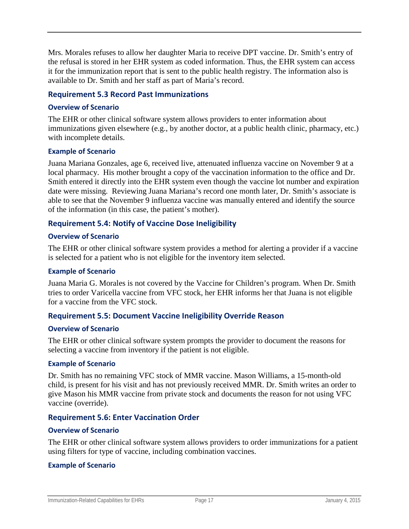Mrs. Morales refuses to allow her daughter Maria to receive DPT vaccine. Dr. Smith's entry of the refusal is stored in her EHR system as coded information. Thus, the EHR system can access it for the immunization report that is sent to the public health registry. The information also is available to Dr. Smith and her staff as part of Maria's record.

#### <span id="page-21-0"></span>**Requirement 5.3 Record Past Immunizations**

#### **Overview of Scenario**

The EHR or other clinical software system allows providers to enter information about immunizations given elsewhere (e.g., by another doctor, at a public health clinic, pharmacy, etc.) with incomplete details.

#### **Example of Scenario**

Juana Mariana Gonzales, age 6, received live, attenuated influenza vaccine on November 9 at a local pharmacy. His mother brought a copy of the vaccination information to the office and Dr. Smith entered it directly into the EHR system even though the vaccine lot number and expiration date were missing. Reviewing Juana Mariana's record one month later, Dr. Smith's associate is able to see that the November 9 influenza vaccine was manually entered and identify the source of the information (in this case, the patient's mother).

#### <span id="page-21-1"></span>**Requirement 5.4: Notify of Vaccine Dose Ineligibility**

#### **Overview of Scenario**

The EHR or other clinical software system provides a method for alerting a provider if a vaccine is selected for a patient who is not eligible for the inventory item selected.

#### **Example of Scenario**

Juana Maria G. Morales is not covered by the Vaccine for Children's program. When Dr. Smith tries to order Varicella vaccine from VFC stock, her EHR informs her that Juana is not eligible for a vaccine from the VFC stock.

#### <span id="page-21-2"></span>**Requirement 5.5: Document Vaccine Ineligibility Override Reason**

#### **Overview of Scenario**

The EHR or other clinical software system prompts the provider to document the reasons for selecting a vaccine from inventory if the patient is not eligible.

#### **Example of Scenario**

Dr. Smith has no remaining VFC stock of MMR vaccine. Mason Williams, a 15-month-old child, is present for his visit and has not previously received MMR. Dr. Smith writes an order to give Mason his MMR vaccine from private stock and documents the reason for not using VFC vaccine (override).

#### <span id="page-21-3"></span>**Requirement 5.6: Enter Vaccination Order**

#### **Overview of Scenario**

The EHR or other clinical software system allows providers to order immunizations for a patient using filters for type of vaccine, including combination vaccines.

#### **Example of Scenario**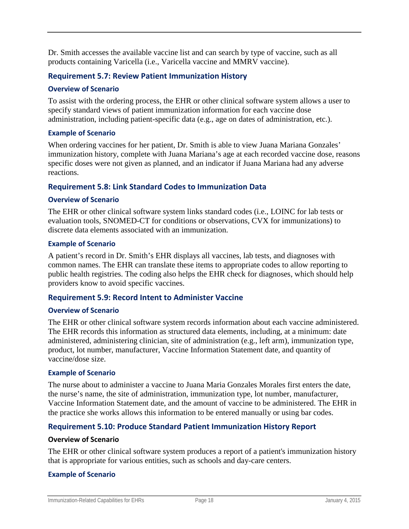Dr. Smith accesses the available vaccine list and can search by type of vaccine, such as all products containing Varicella (i.e., Varicella vaccine and MMRV vaccine).

#### <span id="page-22-0"></span>**Requirement 5.7: Review Patient Immunization History**

#### **Overview of Scenario**

To assist with the ordering process, the EHR or other clinical software system allows a user to specify standard views of patient immunization information for each vaccine dose administration, including patient-specific data (e.g., age on dates of administration, etc.).

#### **Example of Scenario**

When ordering vaccines for her patient, Dr. Smith is able to view Juana Mariana Gonzales' immunization history, complete with Juana Mariana's age at each recorded vaccine dose, reasons specific doses were not given as planned, and an indicator if Juana Mariana had any adverse reactions.

#### <span id="page-22-1"></span>**Requirement 5.8: Link Standard Codes to Immunization Data**

#### **Overview of Scenario**

The EHR or other clinical software system links standard codes (i.e., LOINC for lab tests or evaluation tools, SNOMED-CT for conditions or observations, CVX for immunizations) to discrete data elements associated with an immunization.

#### **Example of Scenario**

A patient's record in Dr. Smith's EHR displays all vaccines, lab tests, and diagnoses with common names. The EHR can translate these items to appropriate codes to allow reporting to public health registries. The coding also helps the EHR check for diagnoses, which should help providers know to avoid specific vaccines.

#### <span id="page-22-2"></span>**Requirement 5.9: Record Intent to Administer Vaccine**

#### **Overview of Scenario**

The EHR or other clinical software system records information about each vaccine administered. The EHR records this information as structured data elements, including, at a minimum: date administered, administering clinician, site of administration (e.g., left arm), immunization type, product, lot number, manufacturer, Vaccine Information Statement date, and quantity of vaccine/dose size.

#### **Example of Scenario**

The nurse about to administer a vaccine to Juana Maria Gonzales Morales first enters the date, the nurse's name, the site of administration, immunization type, lot number, manufacturer, Vaccine Information Statement date, and the amount of vaccine to be administered. The EHR in the practice she works allows this information to be entered manually or using bar codes.

#### <span id="page-22-3"></span>**Requirement 5.10: Produce Standard Patient Immunization History Report**

#### **Overview of Scenario**

The EHR or other clinical software system produces a report of a patient's immunization history that is appropriate for various entities, such as schools and day-care centers.

#### **Example of Scenario**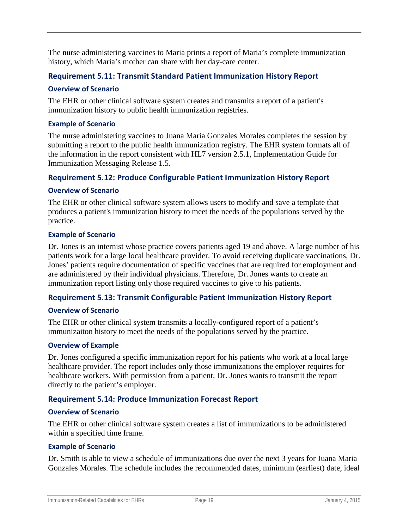The nurse administering vaccines to Maria prints a report of Maria's complete immunization history, which Maria's mother can share with her day-care center.

### <span id="page-23-0"></span>**Requirement 5.11: Transmit Standard Patient Immunization History Report**

#### **Overview of Scenario**

The EHR or other clinical software system creates and transmits a report of a patient's immunization history to public health immunization registries.

#### **Example of Scenario**

The nurse administering vaccines to Juana Maria Gonzales Morales completes the session by submitting a report to the public health immunization registry. The EHR system formats all of the information in the report consistent with HL7 version 2.5.1, Implementation Guide for Immunization Messaging Release 1.5.

#### <span id="page-23-1"></span>**Requirement 5.12: Produce Configurable Patient Immunization History Report**

#### **Overview of Scenario**

The EHR or other clinical software system allows users to modify and save a template that produces a patient's immunization history to meet the needs of the populations served by the practice.

#### **Example of Scenario**

Dr. Jones is an internist whose practice covers patients aged 19 and above. A large number of his patients work for a large local healthcare provider. To avoid receiving duplicate vaccinations, Dr. Jones' patients require documentation of specific vaccines that are required for employment and are administered by their individual physicians. Therefore, Dr. Jones wants to create an immunization report listing only those required vaccines to give to his patients.

#### <span id="page-23-2"></span>**Requirement 5.13: Transmit Configurable Patient Immunization History Report**

#### **Overview of Scenario**

The EHR or other clinical system transmits a locally-configured report of a patient's immunizaiton history to meet the needs of the populations served by the practice.

#### **Overview of Example**

Dr. Jones configured a specific immunization report for his patients who work at a local large healthcare provider. The report includes only those immunizations the employer requires for healthcare workers. With permission from a patient, Dr. Jones wants to transmit the report directly to the patient's employer.

#### <span id="page-23-3"></span>**Requirement 5.14: Produce Immunization Forecast Report**

#### **Overview of Scenario**

The EHR or other clinical software system creates a list of immunizations to be administered within a specified time frame.

#### **Example of Scenario**

Dr. Smith is able to view a schedule of immunizations due over the next 3 years for Juana Maria Gonzales Morales. The schedule includes the recommended dates, minimum (earliest) date, ideal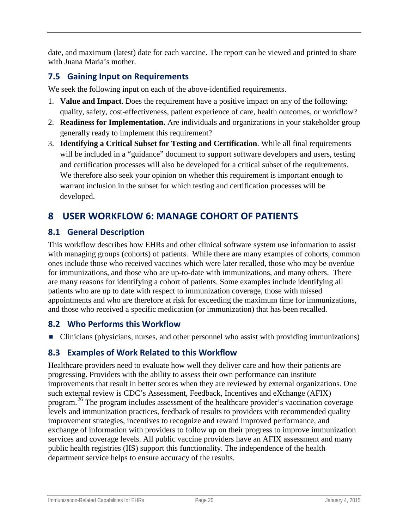date, and maximum (latest) date for each vaccine. The report can be viewed and printed to share with Juana Maria's mother.

## <span id="page-24-0"></span>**7.5 Gaining Input on Requirements**

We seek the following input on each of the above-identified requirements.

- 1. **Value and Impact**. Does the requirement have a positive impact on any of the following: quality, safety, cost-effectiveness, patient experience of care, health outcomes, or workflow?
- 2. **Readiness for Implementation.** Are individuals and organizations in your stakeholder group generally ready to implement this requirement?
- 3. **Identifying a Critical Subset for Testing and Certification**. While all final requirements will be included in a "guidance" document to support software developers and users, testing and certification processes will also be developed for a critical subset of the requirements. We therefore also seek your opinion on whether this requirement is important enough to warrant inclusion in the subset for which testing and certification processes will be developed.

# <span id="page-24-1"></span>**8 USER WORKFLOW 6: MANAGE COHORT OF PATIENTS**

## <span id="page-24-2"></span>**8.1 General Description**

This workflow describes how EHRs and other clinical software system use information to assist with managing groups (cohorts) of patients. While there are many examples of cohorts, common ones include those who received vaccines which were later recalled, those who may be overdue for immunizations, and those who are up-to-date with immunizations, and many others. There are many reasons for identifying a cohort of patients. Some examples include identifying all patients who are up to date with respect to immunization coverage, those with missed appointments and who are therefore at risk for exceeding the maximum time for immunizations, and those who received a specific medication (or immunization) that has been recalled.

## <span id="page-24-3"></span>**8.2 Who Performs this Workflow**

■ Clinicians (physicians, nurses, and other personnel who assist with providing immunizations)

## <span id="page-24-4"></span>**8.3 Examples of Work Related to this Workflow**

Healthcare providers need to evaluate how well they deliver care and how their patients are progressing. Providers with the ability to assess their own performance can institute improvements that result in better scores when they are reviewed by external organizations. One such external review is CDC's Assessment, Feedback, Incentives and eXchange (AFIX) program.[26](#page-38-20) The program includes assessment of the healthcare provider's vaccination coverage levels and immunization practices, feedback of results to providers with recommended quality improvement strategies, incentives to recognize and reward improved performance, and exchange of information with providers to follow up on their progress to improve immunization services and coverage levels. All public vaccine providers have an AFIX assessment and many public health registries (IIS) support this functionality. The independence of the health department service helps to ensure accuracy of the results.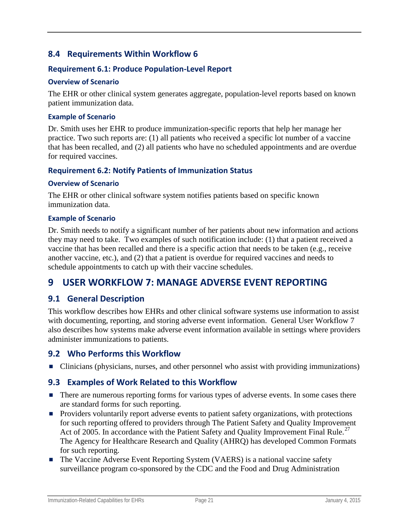## <span id="page-25-0"></span>**8.4 Requirements Within Workflow 6**

### <span id="page-25-1"></span>**Requirement 6.1: Produce Population-Level Report**

#### **Overview of Scenario**

The EHR or other clinical system generates aggregate, population-level reports based on known patient immunization data.

#### **Example of Scenario**

Dr. Smith uses her EHR to produce immunization-specific reports that help her manage her practice. Two such reports are: (1) all patients who received a specific lot number of a vaccine that has been recalled, and (2) all patients who have no scheduled appointments and are overdue for required vaccines.

### <span id="page-25-2"></span>**Requirement 6.2: Notify Patients of Immunization Status**

#### **Overview of Scenario**

The EHR or other clinical software system notifies patients based on specific known immunization data.

#### **Example of Scenario**

Dr. Smith needs to notify a significant number of her patients about new information and actions they may need to take. Two examples of such notification include: (1) that a patient received a vaccine that has been recalled and there is a specific action that needs to be taken (e.g., receive another vaccine, etc.), and (2) that a patient is overdue for required vaccines and needs to schedule appointments to catch up with their vaccine schedules.

## <span id="page-25-3"></span>**9 USER WORKFLOW 7: MANAGE ADVERSE EVENT REPORTING**

### <span id="page-25-4"></span>**9.1 General Description**

This workflow describes how EHRs and other clinical software systems use information to assist with documenting, reporting, and storing adverse event information. General User Workflow 7 also describes how systems make adverse event information available in settings where providers administer immunizations to patients.

#### <span id="page-25-5"></span>**9.2 Who Performs this Workflow**

■ Clinicians (physicians, nurses, and other personnel who assist with providing immunizations)

### <span id="page-25-6"></span>**9.3 Examples of Work Related to this Workflow**

- There are numerous reporting forms for various types of adverse events. In some cases there are standard forms for such reporting.
- **Providers voluntarily report adverse events to patient safety organizations, with protections** for such reporting offered to providers through The Patient Safety and Quality Improvement Act of 2005. In accordance with the Patient Safety and Quality Improvement Final Rule.<sup>[27](#page-38-21)</sup> The Agency for Healthcare Research and Quality (AHRQ) has developed Common Formats for such reporting.
- The Vaccine Adverse Event Reporting System (VAERS) is a national vaccine safety surveillance program co-sponsored by the CDC and the Food and Drug Administration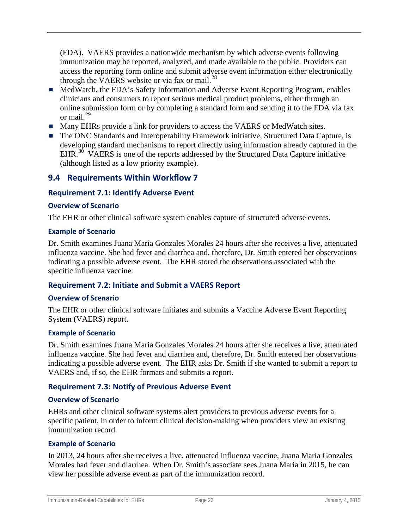(FDA). VAERS provides a nationwide mechanism by which adverse events following immunization may be reported, analyzed, and made available to the public. Providers can access the reporting form online and submit adverse event information either electronically through the VAERS website or via fax or mail. $^{28}$  $^{28}$  $^{28}$ 

- MedWatch, the FDA's Safety Information and Adverse Event Reporting Program, enables clinicians and consumers to report serious medical product problems, either through an online submission form or by completing a standard form and sending it to the FDA via fax or mail  $^{29}$  $^{29}$  $^{29}$
- **Many EHRs provide a link for providers to access the VAERS or MedWatch sites.**
- The ONC Standards and Interoperability Framework initiative, Structured Data Capture, is developing standard mechanisms to report directly using information already captured in the EHR. $30$  VAERS is one of the reports addressed by the Structured Data Capture initiative (although listed as a low priority example).

## <span id="page-26-0"></span>**9.4 Requirements Within Workflow 7**

### <span id="page-26-1"></span>**Requirement 7.1: Identify Adverse Event**

#### **Overview of Scenario**

The EHR or other clinical software system enables capture of structured adverse events.

#### **Example of Scenario**

Dr. Smith examines Juana Maria Gonzales Morales 24 hours after she receives a live, attenuated influenza vaccine. She had fever and diarrhea and, therefore, Dr. Smith entered her observations indicating a possible adverse event. The EHR stored the observations associated with the specific influenza vaccine.

#### <span id="page-26-2"></span>**Requirement 7.2: Initiate and Submit a VAERS Report**

#### **Overview of Scenario**

The EHR or other clinical software initiates and submits a Vaccine Adverse Event Reporting System (VAERS) report.

#### **Example of Scenario**

Dr. Smith examines Juana Maria Gonzales Morales 24 hours after she receives a live, attenuated influenza vaccine. She had fever and diarrhea and, therefore, Dr. Smith entered her observations indicating a possible adverse event. The EHR asks Dr. Smith if she wanted to submit a report to VAERS and, if so, the EHR formats and submits a report.

#### <span id="page-26-3"></span>**Requirement 7.3: Notify of Previous Adverse Event**

#### **Overview of Scenario**

EHRs and other clinical software systems alert providers to previous adverse events for a specific patient, in order to inform clinical decision-making when providers view an existing immunization record.

#### **Example of Scenario**

In 2013, 24 hours after she receives a live, attenuated influenza vaccine, Juana Maria Gonzales Morales had fever and diarrhea. When Dr. Smith's associate sees Juana Maria in 2015, he can view her possible adverse event as part of the immunization record.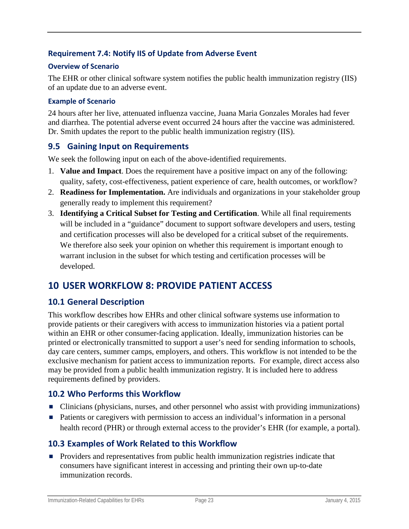### <span id="page-27-0"></span>**Requirement 7.4: Notify IIS of Update from Adverse Event**

#### **Overview of Scenario**

The EHR or other clinical software system notifies the public health immunization registry (IIS) of an update due to an adverse event.

#### **Example of Scenario**

24 hours after her live, attenuated influenza vaccine, Juana Maria Gonzales Morales had fever and diarrhea. The potential adverse event occurred 24 hours after the vaccine was administered. Dr. Smith updates the report to the public health immunization registry (IIS).

### <span id="page-27-1"></span>**9.5 Gaining Input on Requirements**

We seek the following input on each of the above-identified requirements.

- 1. **Value and Impact**. Does the requirement have a positive impact on any of the following: quality, safety, cost-effectiveness, patient experience of care, health outcomes, or workflow?
- 2. **Readiness for Implementation.** Are individuals and organizations in your stakeholder group generally ready to implement this requirement?
- 3. **Identifying a Critical Subset for Testing and Certification**. While all final requirements will be included in a "guidance" document to support software developers and users, testing and certification processes will also be developed for a critical subset of the requirements. We therefore also seek your opinion on whether this requirement is important enough to warrant inclusion in the subset for which testing and certification processes will be developed.

## <span id="page-27-2"></span>**10 USER WORKFLOW 8: PROVIDE PATIENT ACCESS**

### <span id="page-27-3"></span>**10.1 General Description**

This workflow describes how EHRs and other clinical software systems use information to provide patients or their caregivers with access to immunization histories via a patient portal within an EHR or other consumer-facing application. Ideally, immunization histories can be printed or electronically transmitted to support a user's need for sending information to schools, day care centers, summer camps, employers, and others. This workflow is not intended to be the exclusive mechanism for patient access to immunization reports. For example, direct access also may be provided from a public health immunization registry. It is included here to address requirements defined by providers.

### <span id="page-27-4"></span>**10.2 Who Performs this Workflow**

- Clinicians (physicians, nurses, and other personnel who assist with providing immunizations)
- Patients or caregivers with permission to access an individual's information in a personal health record (PHR) or through external access to the provider's EHR (for example, a portal).

### <span id="page-27-5"></span>**10.3 Examples of Work Related to this Workflow**

**Providers and representatives from public health immunization registries indicate that** consumers have significant interest in accessing and printing their own up-to-date immunization records.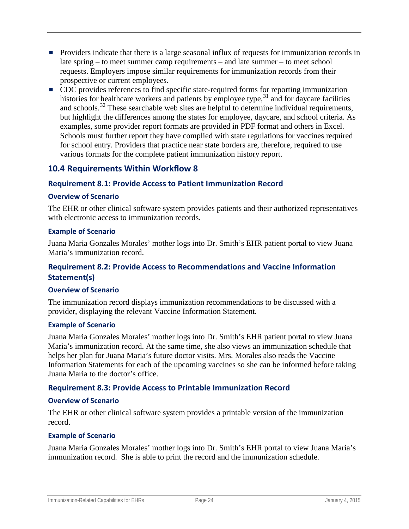- **Providers indicate that there is a large seasonal influx of requests for immunization records in** late spring – to meet summer camp requirements – and late summer – to meet school requests. Employers impose similar requirements for immunization records from their prospective or current employees.
- CDC provides references to find specific state-required forms for reporting immunization histories for healthcare workers and patients by employee type,  $31$  and for daycare facilities and schools.<sup>[32](#page-38-25)</sup> These searchable web sites are helpful to determine individual requirements, but highlight the differences among the states for employee, daycare, and school criteria. As examples, some provider report formats are provided in PDF format and others in Excel. Schools must further report they have complied with state regulations for vaccines required for school entry. Providers that practice near state borders are, therefore, required to use various formats for the complete patient immunization history report.

### <span id="page-28-0"></span>**10.4 Requirements Within Workflow 8**

### <span id="page-28-1"></span>**Requirement 8.1: Provide Access to Patient Immunization Record**

#### **Overview of Scenario**

The EHR or other clinical software system provides patients and their authorized representatives with electronic access to immunization records.

#### **Example of Scenario**

Juana Maria Gonzales Morales' mother logs into Dr. Smith's EHR patient portal to view Juana Maria's immunization record.

### <span id="page-28-2"></span>**Requirement 8.2: Provide Access to Recommendations and Vaccine Information Statement(s)**

#### **Overview of Scenario**

The immunization record displays immunization recommendations to be discussed with a provider, displaying the relevant Vaccine Information Statement.

#### **Example of Scenario**

Juana Maria Gonzales Morales' mother logs into Dr. Smith's EHR patient portal to view Juana Maria's immunization record. At the same time, she also views an immunization schedule that helps her plan for Juana Maria's future doctor visits. Mrs. Morales also reads the Vaccine Information Statements for each of the upcoming vaccines so she can be informed before taking Juana Maria to the doctor's office.

### <span id="page-28-3"></span>**Requirement 8.3: Provide Access to Printable Immunization Record**

#### **Overview of Scenario**

The EHR or other clinical software system provides a printable version of the immunization record.

#### **Example of Scenario**

Juana Maria Gonzales Morales' mother logs into Dr. Smith's EHR portal to view Juana Maria's immunization record. She is able to print the record and the immunization schedule.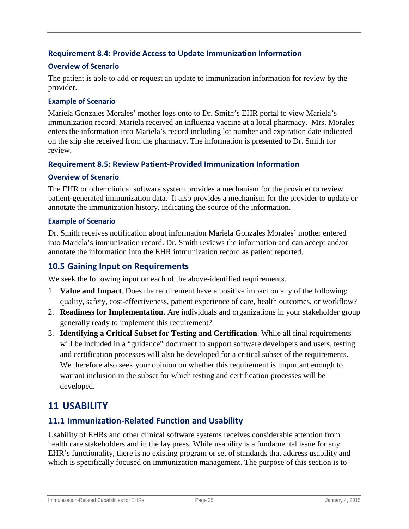### <span id="page-29-0"></span>**Requirement 8.4: Provide Access to Update Immunization Information**

### **Overview of Scenario**

The patient is able to add or request an update to immunization information for review by the provider.

### **Example of Scenario**

Mariela Gonzales Morales' mother logs onto to Dr. Smith's EHR portal to view Mariela's immunization record. Mariela received an influenza vaccine at a local pharmacy. Mrs. Morales enters the information into Mariela's record including lot number and expiration date indicated on the slip she received from the pharmacy. The information is presented to Dr. Smith for review.

### <span id="page-29-1"></span>**Requirement 8.5: Review Patient-Provided Immunization Information**

#### **Overview of Scenario**

The EHR or other clinical software system provides a mechanism for the provider to review patient-generated immunization data. It also provides a mechanism for the provider to update or annotate the immunization history, indicating the source of the information.

#### **Example of Scenario**

Dr. Smith receives notification about information Mariela Gonzales Morales' mother entered into Mariela's immunization record. Dr. Smith reviews the information and can accept and/or annotate the information into the EHR immunization record as patient reported.

### <span id="page-29-2"></span>**10.5 Gaining Input on Requirements**

We seek the following input on each of the above-identified requirements.

- 1. **Value and Impact**. Does the requirement have a positive impact on any of the following: quality, safety, cost-effectiveness, patient experience of care, health outcomes, or workflow?
- 2. **Readiness for Implementation.** Are individuals and organizations in your stakeholder group generally ready to implement this requirement?
- 3. **Identifying a Critical Subset for Testing and Certification**. While all final requirements will be included in a "guidance" document to support software developers and users, testing and certification processes will also be developed for a critical subset of the requirements. We therefore also seek your opinion on whether this requirement is important enough to warrant inclusion in the subset for which testing and certification processes will be developed.

## <span id="page-29-3"></span>**11 USABILITY**

## <span id="page-29-4"></span>**11.1 Immunization-Related Function and Usability**

Usability of EHRs and other clinical software systems receives considerable attention from health care stakeholders and in the lay press. While usability is a fundamental issue for any EHR's functionality, there is no existing program or set of standards that address usability and which is specifically focused on immunization management. The purpose of this section is to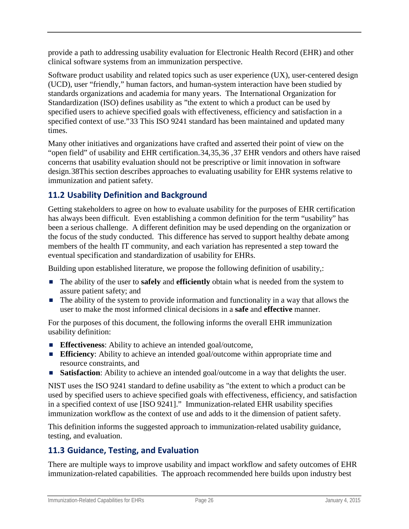provide a path to addressing usability evaluation for Electronic Health Record (EHR) and other clinical software systems from an immunization perspective.

Software product usability and related topics such as user experience (UX), user-centered design (UCD), user "friendly," human factors, and human-system interaction have been studied by standards organizations and academia for many years. The International Organization for Standardization (ISO) defines usability as "the extent to which a product can be used by specified users to achieve specified goals with effectiveness, efficiency and satisfaction in a specified context of use."[33](#page-38-26) This ISO 9241 standard has been maintained and updated many times.

Many other initiatives and organizations have crafted and asserted their point of view on the "open field" of usability and EHR certification.[34](#page-38-27),[35,](#page-38-28)[36](#page-38-13) ,[37](#page-38-29) EHR vendors and others have raised concerns that usability evaluation should not be prescriptive or limit innovation in software design.[38T](#page-38-30)his section describes approaches to evaluating usability for EHR systems relative to immunization and patient safety.

## <span id="page-30-0"></span>**11.2 Usability Definition and Background**

Getting stakeholders to agree on how to evaluate usability for the purposes of EHR certification has always been difficult. Even establishing a common definition for the term "usability" has been a serious challenge. A different definition may be used depending on the organization or the focus of the study conducted. This difference has served to support healthy debate among members of the health IT community, and each variation has represented a step toward the eventual specification and standardization of usability for EHRs.

Building upon established literature, we propose the following definition of usability,:

- The ability of the user to **safely** and **efficiently** obtain what is needed from the system to assure patient safety; and
- The ability of the system to provide information and functionality in a way that allows the user to make the most informed clinical decisions in a **safe** and **effective** manner.

For the purposes of this document, the following informs the overall EHR immunization usability definition:

- **Effectiveness:** Ability to achieve an intended goal/outcome,
- **Efficiency**: Ability to achieve an intended goal/outcome within appropriate time and resource constraints, and
- **Satisfaction:** Ability to achieve an intended goal/outcome in a way that delights the user.

NIST uses the ISO 9241 standard to define usability as "the extent to which a product can be used by specified users to achieve specified goals with effectiveness, efficiency, and satisfaction in a specified context of use [ISO 9241]." Immunization-related EHR usability specifies immunization workflow as the context of use and adds to it the dimension of patient safety.

This definition informs the suggested approach to immunization-related usability guidance, testing, and evaluation.

## <span id="page-30-1"></span>**11.3 Guidance, Testing, and Evaluation**

There are multiple ways to improve usability and impact workflow and safety outcomes of EHR immunization-related capabilities. The approach recommended here builds upon industry best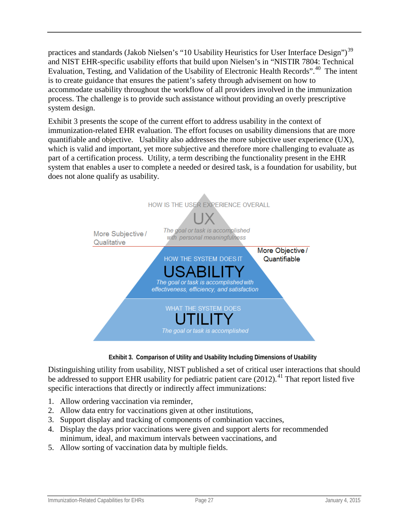practices and standards (Jakob Nielsen's "10 Usability Heuristics for User Interface Design")<sup>[39](#page-38-31)</sup> and NIST EHR-specific usability efforts that build upon Nielsen's in "NISTIR 7804: Technical Evaluation, Testing, and Validation of the Usability of Electronic Health Records".<sup>[40](#page-38-16)</sup> The intent is to create guidance that ensures the patient's safety through advisement on how to accommodate usability throughout the workflow of all providers involved in the immunization process. The challenge is to provide such assistance without providing an overly prescriptive system design.

Exhibit 3 presents the scope of the current effort to address usability in the context of immunization-related EHR evaluation. The effort focuses on usability dimensions that are more quantifiable and objective. Usability also addresses the more subjective user experience (UX), which is valid and important, yet more subjective and therefore more challenging to evaluate as part of a certification process. Utility, a term describing the functionality present in the EHR system that enables a user to complete a needed or desired task, is a foundation for usability, but does not alone qualify as usability.



 **Exhibit 3. Comparison of Utility and Usability Including Dimensions of Usability**

Distinguishing utility from usability, NIST published a set of critical user interactions that should be addressed to support EHR usability for pediatric patient care  $(2012)$ .<sup>[41](#page-38-32)</sup> That report listed five specific interactions that directly or indirectly affect immunizations:

- 1. Allow ordering vaccination via reminder,
- 2. Allow data entry for vaccinations given at other institutions,
- 3. Support display and tracking of components of combination vaccines,
- 4. Display the days prior vaccinations were given and support alerts for recommended minimum, ideal, and maximum intervals between vaccinations, and
- 5. Allow sorting of vaccination data by multiple fields.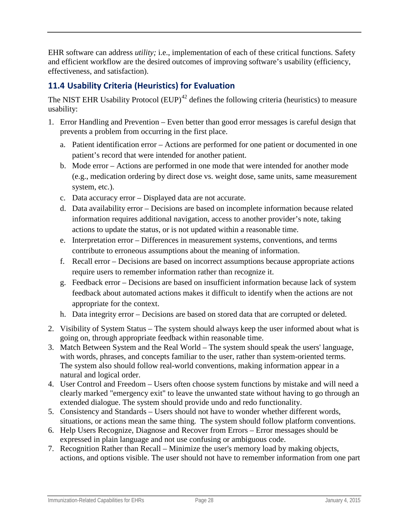EHR software can address *utility;* i.e., implementation of each of these critical functions. Safety and efficient workflow are the desired outcomes of improving software's usability (efficiency, effectiveness, and satisfaction).

## <span id="page-32-0"></span>**11.4 Usability Criteria (Heuristics) for Evaluation**

The NIST EHR Usability Protocol  $(EUP)^{42}$  $(EUP)^{42}$  $(EUP)^{42}$  defines the following criteria (heuristics) to measure usability:

- 1. Error Handling and Prevention Even better than good error messages is careful design that prevents a problem from occurring in the first place.
	- a. Patient identification error Actions are performed for one patient or documented in one patient's record that were intended for another patient.
	- b. Mode error Actions are performed in one mode that were intended for another mode (e.g., medication ordering by direct dose vs. weight dose, same units, same measurement system, etc.).
	- c. Data accuracy error Displayed data are not accurate.
	- d. Data availability error Decisions are based on incomplete information because related information requires additional navigation, access to another provider's note, taking actions to update the status, or is not updated within a reasonable time.
	- e. Interpretation error Differences in measurement systems, conventions, and terms contribute to erroneous assumptions about the meaning of information.
	- f. Recall error Decisions are based on incorrect assumptions because appropriate actions require users to remember information rather than recognize it.
	- g. Feedback error Decisions are based on insufficient information because lack of system feedback about automated actions makes it difficult to identify when the actions are not appropriate for the context.
	- h. Data integrity error Decisions are based on stored data that are corrupted or deleted.
- 2. Visibility of System Status The system should always keep the user informed about what is going on, through appropriate feedback within reasonable time.
- 3. Match Between System and the Real World The system should speak the users' language, with words, phrases, and concepts familiar to the user, rather than system-oriented terms. The system also should follow real-world conventions, making information appear in a natural and logical order.
- 4. User Control and Freedom Users often choose system functions by mistake and will need a clearly marked "emergency exit" to leave the unwanted state without having to go through an extended dialogue. The system should provide undo and redo functionality.
- 5. Consistency and Standards Users should not have to wonder whether different words, situations, or actions mean the same thing. The system should follow platform conventions.
- 6. Help Users Recognize, Diagnose and Recover from Errors Error messages should be expressed in plain language and not use confusing or ambiguous code.
- 7. Recognition Rather than Recall Minimize the user's memory load by making objects, actions, and options visible. The user should not have to remember information from one part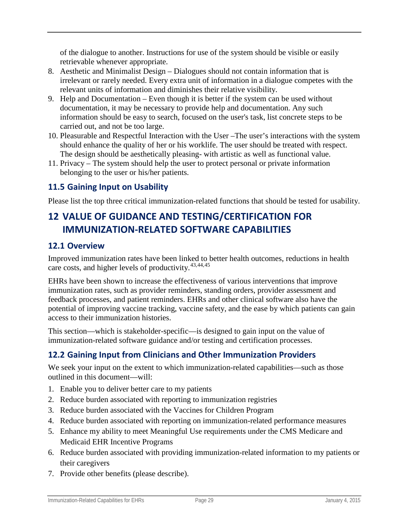of the dialogue to another. Instructions for use of the system should be visible or easily retrievable whenever appropriate.

- 8. Aesthetic and Minimalist Design Dialogues should not contain information that is irrelevant or rarely needed. Every extra unit of information in a dialogue competes with the relevant units of information and diminishes their relative visibility.
- 9. Help and Documentation Even though it is better if the system can be used without documentation, it may be necessary to provide help and documentation. Any such information should be easy to search, focused on the user's task, list concrete steps to be carried out, and not be too large.
- 10. Pleasurable and Respectful Interaction with the User –The user's interactions with the system should enhance the quality of her or his worklife. The user should be treated with respect. The design should be aesthetically pleasing- with artistic as well as functional value.
- 11. Privacy The system should help the user to protect personal or private information belonging to the user or his/her patients.

## <span id="page-33-0"></span>**11.5 Gaining Input on Usability**

Please list the top three critical immunization-related functions that should be tested for usability.

# <span id="page-33-1"></span>**12 VALUE OF GUIDANCE AND TESTING/CERTIFICATION FOR IMMUNIZATION-RELATED SOFTWARE CAPABILITIES**

## <span id="page-33-2"></span>**12.1 Overview**

Improved immunization rates have been linked to better health outcomes, reductions in health care costs, and higher levels of productivity.[43](#page-38-34),[44,](#page-38-35)[45](#page-38-36)

EHRs have been shown to increase the effectiveness of various interventions that improve immunization rates, such as provider reminders, standing orders, provider assessment and feedback processes, and patient reminders. EHRs and other clinical software also have the potential of improving vaccine tracking, vaccine safety, and the ease by which patients can gain access to their immunization histories.

This section—which is stakeholder-specific—is designed to gain input on the value of immunization-related software guidance and/or testing and certification processes.

## <span id="page-33-3"></span>**12.2 Gaining Input from Clinicians and Other Immunization Providers**

We seek your input on the extent to which immunization-related capabilities—such as those outlined in this document—will:

- 1. Enable you to deliver better care to my patients
- 2. Reduce burden associated with reporting to immunization registries
- 3. Reduce burden associated with the Vaccines for Children Program
- 4. Reduce burden associated with reporting on immunization-related performance measures
- 5. Enhance my ability to meet Meaningful Use requirements under the CMS Medicare and Medicaid EHR Incentive Programs
- 6. Reduce burden associated with providing immunization-related information to my patients or their caregivers
- 7. Provide other benefits (please describe).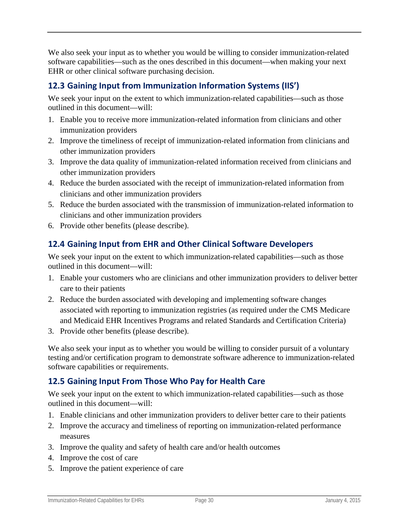We also seek your input as to whether you would be willing to consider immunization-related software capabilities—such as the ones described in this document—when making your next EHR or other clinical software purchasing decision.

## <span id="page-34-0"></span>**12.3 Gaining Input from Immunization Information Systems (IIS')**

We seek your input on the extent to which immunization-related capabilities—such as those outlined in this document—will:

- 1. Enable you to receive more immunization-related information from clinicians and other immunization providers
- 2. Improve the timeliness of receipt of immunization-related information from clinicians and other immunization providers
- 3. Improve the data quality of immunization-related information received from clinicians and other immunization providers
- 4. Reduce the burden associated with the receipt of immunization-related information from clinicians and other immunization providers
- 5. Reduce the burden associated with the transmission of immunization-related information to clinicians and other immunization providers
- 6. Provide other benefits (please describe).

## <span id="page-34-1"></span>**12.4 Gaining Input from EHR and Other Clinical Software Developers**

We seek your input on the extent to which immunization-related capabilities—such as those outlined in this document—will:

- 1. Enable your customers who are clinicians and other immunization providers to deliver better care to their patients
- 2. Reduce the burden associated with developing and implementing software changes associated with reporting to immunization registries (as required under the CMS Medicare and Medicaid EHR Incentives Programs and related Standards and Certification Criteria)
- 3. Provide other benefits (please describe).

We also seek your input as to whether you would be willing to consider pursuit of a voluntary testing and/or certification program to demonstrate software adherence to immunization-related software capabilities or requirements.

## <span id="page-34-2"></span>**12.5 Gaining Input From Those Who Pay for Health Care**

We seek your input on the extent to which immunization-related capabilities—such as those outlined in this document—will:

- 1. Enable clinicians and other immunization providers to deliver better care to their patients
- 2. Improve the accuracy and timeliness of reporting on immunization-related performance measures
- 3. Improve the quality and safety of health care and/or health outcomes
- 4. Improve the cost of care
- 5. Improve the patient experience of care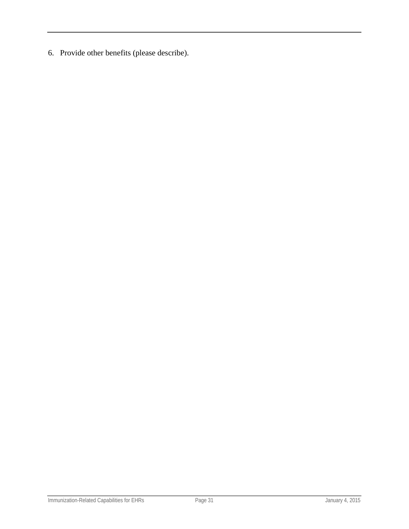6. Provide other benefits (please describe).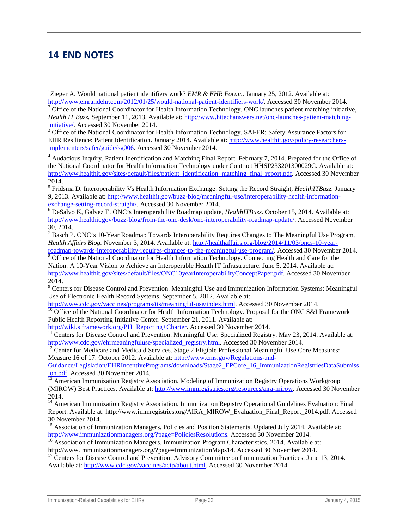## <span id="page-36-0"></span>**14 END NOTES**

 $\overline{a}$ 

 $3$  Office of the National Coordinator for Health Information Technology. SAFER: Safety Assurance Factors for EHR Resilience: Patient Identification. January 2014. Available at: [http://www.healthit.gov/policy-researchers](http://www.healthit.gov/policy-researchers-implementers/safer/guide/sg006)[implementers/safer/guide/sg006.](http://www.healthit.gov/policy-researchers-implementers/safer/guide/sg006) Accessed 30 November 2014.

<sup>4</sup> Audacious Inquiry. Patient Identification and Matching Final Report. February 7, 2014. Prepared for the Office of the National Coordinator for Health Information Technology under Contract HHSP233201300029C. Available at: [http://www.healthit.gov/sites/default/files/patient\\_identification\\_matching\\_final\\_report.pdf.](http://www.healthit.gov/sites/default/files/patient_identification_matching_final_report.pdf) Accessed 30 November 2014.

<sup>5</sup> Fridsma D. Interoperability Vs Health Information Exchange: Setting the Record Straight, *HealthITBuzz.* January 9, 2013. Available at: http://www.healthit.gov/buzz-blog/meaningful-use/interoperability-health-information-<br>exchange-setting-record-straight/. Accessed 30 November 2014.

<sup>6</sup> DeSalvo K, Galvez E. ONC's Interoperability Roadmap update, *HealthITBuzz*. October 15, 2014. Available at: [http://www.healthit.gov/buzz-blog/from-the-onc-desk/onc-interoperability-roadmap-update/.](http://www.healthit.gov/buzz-blog/from-the-onc-desk/onc-interoperability-roadmap-update/) Accessed November 30, 2014.

<sup>7</sup> Basch P. ONC's 10-Year Roadmap Towards Interoperability Requires Changes to The Meaningful Use Program, *Health Affairs Blog.* November 3, 2014. Available at: [http://healthaffairs.org/blog/2014/11/03/oncs-10-year-](http://healthaffairs.org/blog/2014/11/03/oncs-10-year-roadmap-towards-interoperability-requires-changes-to-the-meaningful-use-program/)

[roadmap-towards-interoperability-requires-changes-to-the-meaningful-use-program/.](http://healthaffairs.org/blog/2014/11/03/oncs-10-year-roadmap-towards-interoperability-requires-changes-to-the-meaningful-use-program/) Accessed 30 November 2014.<br><sup>8</sup> Office of the National Coordinator for Health Information Technology. Connecting Health and Care for the Nation: A 10-Year Vision to Achieve an Interoperable Health IT Infrastructure. June 5, 2014. Available at: [http://www.healthit.gov/sites/default/files/ONC10yearInteroperabilityConceptPaper.pdf.](http://www.healthit.gov/sites/default/files/ONC10yearInteroperabilityConceptPaper.pdf) Accessed 30 November 2014.

<sup>9</sup> Centers for Disease Control and Prevention. Meaningful Use and Immunization Information Systems: Meaningful Use of Electronic Health Record Systems. September 5, 2012. Available at:<br>http://www.cdc.gov/vaccines/programs/iis/meaningful-use/index.html. Accessed 30 November 2014.

<sup>10</sup> Office of the National Coordinator for Health Information Technology. Proposal for the ONC S&I Framework Public Health Reporting Initiative Center. September 21, 2011. Available at:<br>http://wiki.siframework.org/PH+Reporting+Charter. Accessed 30 November 2014.

 $\frac{1}{11}$  Centers for Disease Control and Prevention. Meaningful Use: Specialized Registry. May 23, 2014. Available at: [http://www.cdc.gov/ehrmeaningfuluse/specialized\\_registry.html.](http://www.cdc.gov/ehrmeaningfuluse/specialized_registry.html) Accessed 30 November 2014.<br><sup>12</sup> Center for Medicare and Medicaid Services. Stage 2 Eligible Professional Meaningful Use Core Measures:

Measure 16 of 17. October 2012. Available at: [http://www.cms.gov/Regulations-and-](http://www.cms.gov/Regulations-and-Guidance/Legislation/EHRIncentivePrograms/downloads/Stage2_EPCore_16_ImmunizationRegistriesDataSubmission.pdf)[Guidance/Legislation/EHRIncentivePrograms/downloads/Stage2\\_EPCore\\_16\\_ImmunizationRegistriesDataSubmiss](http://www.cms.gov/Regulations-and-Guidance/Legislation/EHRIncentivePrograms/downloads/Stage2_EPCore_16_ImmunizationRegistriesDataSubmission.pdf)<br>ion.pdf. Accessed 30 November 2014.

 $\frac{13}{13}$  American Immunization Registry Association. Modeling of Immunization Registry Operations Workgroup (MIROW) Best Practices. Available at: [http://www.immregistries.org/resources/aira-mirow.](http://www.immregistries.org/resources/aira-mirow) Accessed 30 November 2014.

<sup>14</sup> American Immunization Registry Association. Immunization Registry Operational Guidelines Evaluation: Final Report. Available at: http://www.immregistries.org/AIRA\_MIROW\_Evaluation\_Final\_Report\_2014.pdf. Accessed 30 November 2014.

<sup>15</sup> Association of Immunization Managers. Policies and Position Statements. Updated July 2014. Available at:  $\frac{http://www. immunization managers.org/page=PoliticsResolutions.$  Accessed 30 November 2014.

 $\frac{16}{16}$  Association of Immunization Managers. Immunization Program Characteristics. 2014. Available at: http://www.immunizationmanagers.org/?page=ImmunizationMaps14. Accessed 30 November 2014.

<sup>17</sup> Centers for Disease Control and Prevention. Advisory Committee on Immunization Practices. June 13, 2014. Available at: [http://www.cdc.gov/vaccines/acip/about.html.](http://www.cdc.gov/vaccines/acip/about.html) Accessed 30 November 2014.

<sup>&</sup>lt;sup>1</sup>Zieger A. Would national patient identifiers work? *EMR & EHR Forum*. January 25, 2012. Available at: [http://www.emrandehr.com/2012/01/25/would-national-patient-identifiers-work/.](http://www.emrandehr.com/2012/01/25/would-national-patient-identifiers-work/) Accessed 30 November 2014.<br><sup>2</sup> Office of the National Coordinator for Health Information Technology. ONC launches patient matching initiative, *Health IT Buzz.* September 11, 2013. Available at: http://www.hitechanswers.net/onc-launches-patient-matching-initiative/. Accessed 30 November 2014.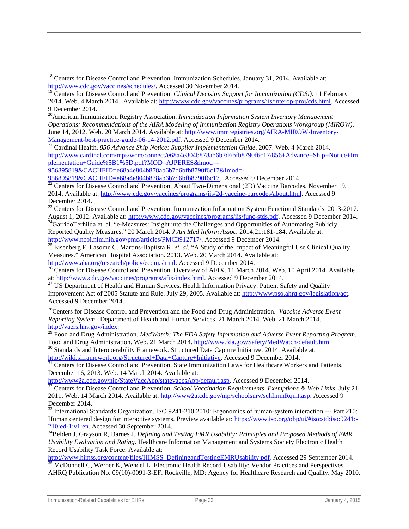$18$  Centers for Disease Control and Prevention. Immunization Schedules. January 31, 2014. Available at: [http://www.cdc.gov/vaccines/schedules/.](http://www.cdc.gov/vaccines/schedules/) Accessed 30 November 2014.

<span id="page-37-1"></span>20American Immunization Registry Association. *Immunization Information System Inventory Management Operations: Recommendations of the AIRA Modeling of Immunization Registry Operations Workgroup (MIROW)*. June 14, 2012. Web. 20 March 2014. Available at[: http://www.immregistries.org/AIRA-MIROW-Inventory-](http://www.immregistries.org/AIRA-MIROW-Inventory-Management-best-practice-guide-06-14-2012.pdf)[Management-best-practice-guide-06-14-2012.pdf.](http://www.immregistries.org/AIRA-MIROW-Inventory-Management-best-practice-guide-06-14-2012.pdf) Accessed 9 December 2014. <sup>21</sup> Cardinal Health. *856 Advance Ship Notice: Supplier Implementation Guide*. 2007. Web. 4 March 2014.

<span id="page-37-3"></span><span id="page-37-2"></span>[http://www.cardinal.com/mps/wcm/connect/e68a4e804b878ab6b7d6bfb8790f6c17/856+Advance+Ship+Notice+Im](http://www.cardinal.com/mps/wcm/connect/e68a4e804b878ab6b7d6bfb8790f6c17/856+Advance+Ship+Notice+Implementation+Guide%5B1%5D.pdf?MOD=AJPERES&lmod=-956895819&CACHEID=e68a4e804b878ab6b7d6bfb8790f6c17&lmod=-956895819&CACHEID=e68a4e804b878ab6b7d6bfb8790f6c17) [plementation+Guide%5B1%5D.pdf?MOD=AJPERES&lmod=-](http://www.cardinal.com/mps/wcm/connect/e68a4e804b878ab6b7d6bfb8790f6c17/856+Advance+Ship+Notice+Implementation+Guide%5B1%5D.pdf?MOD=AJPERES&lmod=-956895819&CACHEID=e68a4e804b878ab6b7d6bfb8790f6c17&lmod=-956895819&CACHEID=e68a4e804b878ab6b7d6bfb8790f6c17)

 $\overline{a}$ 

[956895819&CACHEID=e68a4e804b878ab6b7d6bfb8790f6c17&lmod=-](http://www.cardinal.com/mps/wcm/connect/e68a4e804b878ab6b7d6bfb8790f6c17/856+Advance+Ship+Notice+Implementation+Guide%5B1%5D.pdf?MOD=AJPERES&lmod=-956895819&CACHEID=e68a4e804b878ab6b7d6bfb8790f6c17&lmod=-956895819&CACHEID=e68a4e804b878ab6b7d6bfb8790f6c17)<br>956895819&CACHEID=e68a4e804b878ab6b7d6bfb8790f6c17. Accessed 9 December 2014.

<span id="page-37-4"></span>[956895819&CACHEID=e68a4e804b878ab6b7d6bfb8790f6c17.](http://www.cardinal.com/mps/wcm/connect/e68a4e804b878ab6b7d6bfb8790f6c17/856+Advance+Ship+Notice+Implementation+Guide%5B1%5D.pdf?MOD=AJPERES&lmod=-956895819&CACHEID=e68a4e804b878ab6b7d6bfb8790f6c17&lmod=-956895819&CACHEID=e68a4e804b878ab6b7d6bfb8790f6c17) Accessed 9 December 2014. <sup>22</sup> Centers for Disease Control and Prevention. About Two-Dimensional (2D) Vaccine Barcodes. November 19, 2014. Available at: [http://www.cdc.gov/vaccines/programs/iis/2d-vaccine-barcodes/about.html.](http://www.cdc.gov/vaccines/programs/iis/2d-vaccine-barcodes/about.html) Accessed 9 December 2014.

23 Centers for Disease Control and Prevention. Immunization Information System Functional Standards, 2013-2017. August 1, 2012. Available at: [http://www.cdc.gov/vaccines/programs/iis/func-stds.pdf.](http://www.cdc.gov/vaccines/programs/iis/func-stds.pdf) Accessed 9 December 2014. <sup>24</sup>GarridoTerhilda et. al. "e-Measures: Insight into the Challenges and Opportunities of Automating Publicly

Reported Quality Measures." 20 March 2014. *J Am Med Inform Assoc.* 2014;21:181-184. Available at:<br>http://www.ncbi.nlm.nih.gov/pmc/articles/PMC3912717/. Accessed 9 December 2014.

http://www.ncbi.nim.nih.gov/pmc/articles/PMC312712717/. Accessed 9 December 2014. [25](http://www.ncbi.nlm.nih.gov/pmc/articles/PMC3912717/) Eisenberg F, Lasome C. Martins-Baptista R, *et. al.* "A Study of the Impact of Meaningful Use Clinical Quality Measures." American Hospital Association. 2013. Web. 20 March 2014. Available at:

[http://www.aha.org/research/policy/ecqm.shtml.](http://www.aha.org/research/policy/ecqm.shtml) Accessed 9 December 2014.<br><sup>26</sup> Centers for Disease Control and Prevention. Overview of AFIX. 11 March 2014. Web. 10 April 2014. Available at: http://www.cdc.gov/vaccines/progr

<sup>27</sup> US Department of Health and Human Services. Health Information Privacy: Patient Safety and Quality Improvement Act of 2005 Statute and Rule. July 29, 2005. Available at: [http://www.pso.ahrq.gov/legislation/act.](http://www.pso.ahrq.gov/legislation/act)  Accessed 9 December 2014.

28Centers for Disease Control and Prevention and the Food and Drug Administration. *Vaccine Adverse Event Reporting System*. Department of Health and Human Services, 21 March 2014. Web. 21 March 2014.

http://vaers.htms.gov/index.<br><sup>29</sup> Food and Drug Administration. *MedWatch: The FDA Safety Information and Adverse Event Reporting Program.*<br>Food and Drug Administration. Web. 21 March 2014. http://www.fda.gov/Safety/MedWat

<sup>30</sup> Standards and Interoperability Framework. Structured Data Capture Initiative. 2014. Available at: [http://wiki.siframework.org/Structured+Data+Capture+Initiative.](http://wiki.siframework.org/Structured+Data+Capture+Initiative) Accessed 9 December 2014.<br><sup>31</sup> Centers for Disease Control and Prevention. State Immunization Laws for Healthcare Workers and Patients.

December 16, 2013. Web. 14 March 2014. Available at:<br>http://www2a.cdc.gov/nip/StateVaccApp/statevaccsApp/default.asp. Accessed 9 December 2014.

<sup>32</sup> Centers for Disease Control and Prevention. *School Vaccination Requirements, Exemptions & Web Links*. July 21, 2011. Web. 14 March 2014. Available at: [http://www2a.cdc.gov/nip/schoolsurv/schImmRqmt.asp.](http://www2a.cdc.gov/nip/schoolsurv/schImmRqmt.asp) Accessed 9 December 2014.

<sup>33</sup> International Standards Organization. ISO 9241-210:2010: Ergonomics of human-system interaction --- Part 210: Human centered design for interactive systems. Preview available at: [https://www.iso.org/obp/ui/#iso:std:iso:9241:-](https://www.iso.org/obp/ui/#iso:std:iso:9241:-210:ed-1:v1:en) [210:ed-1:v1:en.](https://www.iso.org/obp/ui/#iso:std:iso:9241:-210:ed-1:v1:en) Accessed 30 September 2014.<br><sup>34</sup>Belden J, Grayson R, Barnes J. *Defining and Testing EMR Usability: Principles and Proposed Methods of EMR* 

*Usability Evaluation and Rating*. Healthcare Information Management and Systems Society Electronic Health Record Usability Task Force. Available at:<br>http://www.himss.org/content/files/HIMSS\_DefiningandTestingEMRUsability.pdf. Accessed 29 September 2014.

 $\frac{35}{35}$  McDonnell C, Werner K, Wendel L. Electronic Health Record Usability: Vendor Practices and Perspectives.

AHRQ Publication No. 09(10)-0091-3-EF. Rockville, MD: Agency for Healthcare Research and Quality. May 2010.

<span id="page-37-0"></span><sup>&</sup>lt;sup>19</sup> Centers for Disease Control and Prevention. *Clinical Decision Support for Immunization (CDSi)*. 11 February 2014. Web. 4 March 2014. Available at: [http://www.cdc.gov/vaccines/programs/iis/interop-proj/cds.html.](http://www.cdc.gov/vaccines/programs/iis/interop-proj/cds.html) Accessed 9 December 2014.